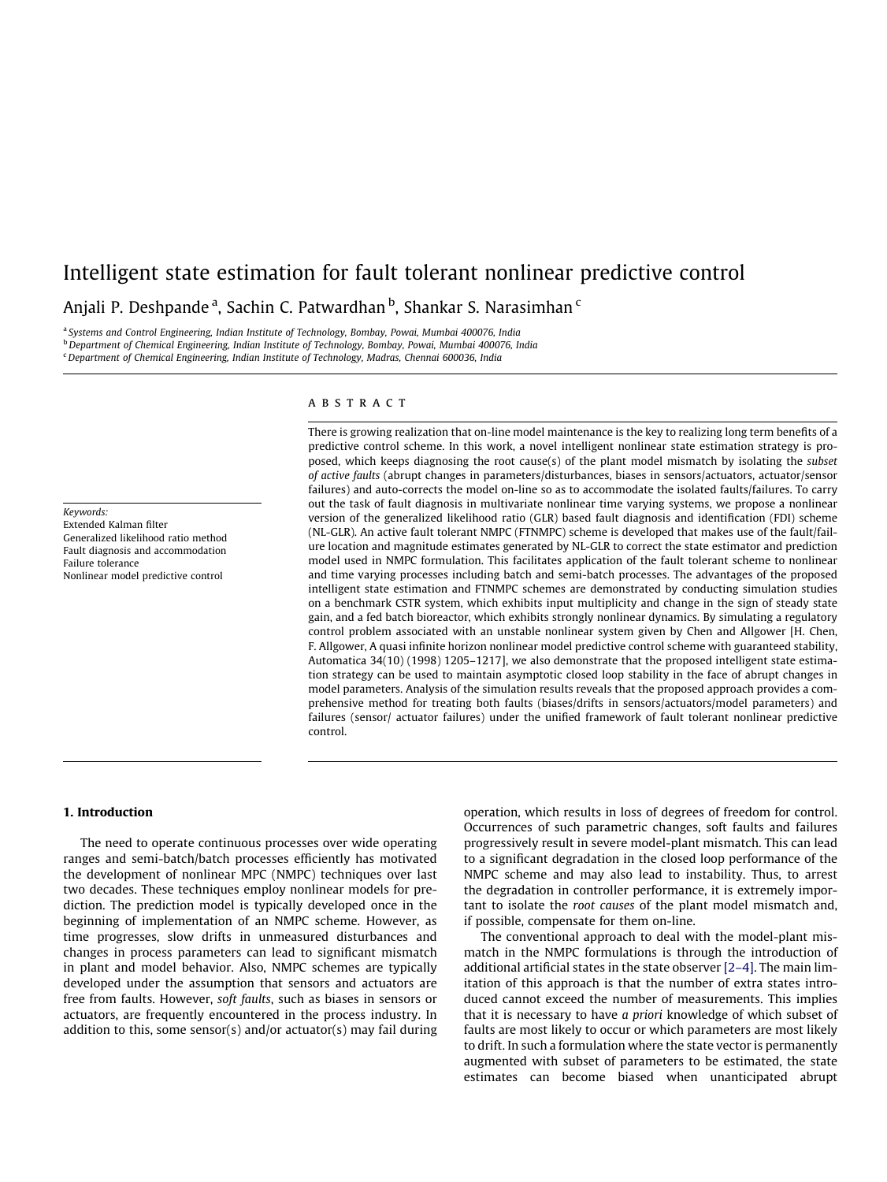# Intelligent state estimation for fault tolerant nonlinear predictive control

Anjali P. Deshpande <sup>a</sup>, Sachin C. Patwardhan <sup>b</sup>, Shankar S. Narasimhan <sup>c</sup>

<sup>a</sup> Systems and Control Engineering, Indian Institute of Technology, Bombay, Powai, Mumbai 400076, India b Department of Chemical Engineering, Indian Institute of Technology, Bombay, Powai, Mumbai 400076, India <sup>c</sup> Department of Chemical Engineering, Indian Institute of Technology, Madras, Chennai 600036, India

#### Keywords: Extended Kalman filter Generalized likelihood ratio method Fault diagnosis and accommodation Failure tolerance Nonlinear model predictive control

## ABSTRACT

There is growing realization that on-line model maintenance is the key to realizing long term benefits of a predictive control scheme. In this work, a novel intelligent nonlinear state estimation strategy is proposed, which keeps diagnosing the root cause(s) of the plant model mismatch by isolating the subset of active faults (abrupt changes in parameters/disturbances, biases in sensors/actuators, actuator/sensor failures) and auto-corrects the model on-line so as to accommodate the isolated faults/failures. To carry out the task of fault diagnosis in multivariate nonlinear time varying systems, we propose a nonlinear version of the generalized likelihood ratio (GLR) based fault diagnosis and identification (FDI) scheme (NL-GLR). An active fault tolerant NMPC (FTNMPC) scheme is developed that makes use of the fault/failure location and magnitude estimates generated by NL-GLR to correct the state estimator and prediction model used in NMPC formulation. This facilitates application of the fault tolerant scheme to nonlinear and time varying processes including batch and semi-batch processes. The advantages of the proposed intelligent state estimation and FTNMPC schemes are demonstrated by conducting simulation studies on a benchmark CSTR system, which exhibits input multiplicity and change in the sign of steady state gain, and a fed batch bioreactor, which exhibits strongly nonlinear dynamics. By simulating a regulatory control problem associated with an unstable nonlinear system given by Chen and Allgower [H. Chen, F. Allgower, A quasi infinite horizon nonlinear model predictive control scheme with guaranteed stability, Automatica 34(10) (1998) 1205–1217], we also demonstrate that the proposed intelligent state estimation strategy can be used to maintain asymptotic closed loop stability in the face of abrupt changes in model parameters. Analysis of the simulation results reveals that the proposed approach provides a comprehensive method for treating both faults (biases/drifts in sensors/actuators/model parameters) and failures (sensor/ actuator failures) under the unified framework of fault tolerant nonlinear predictive control.

# 1. Introduction

The need to operate continuous processes over wide operating ranges and semi-batch/batch processes efficiently has motivated the development of nonlinear MPC (NMPC) techniques over last two decades. These techniques employ nonlinear models for prediction. The prediction model is typically developed once in the beginning of implementation of an NMPC scheme. However, as time progresses, slow drifts in unmeasured disturbances and changes in process parameters can lead to significant mismatch in plant and model behavior. Also, NMPC schemes are typically developed under the assumption that sensors and actuators are free from faults. However, soft faults, such as biases in sensors or actuators, are frequently encountered in the process industry. In addition to this, some sensor(s) and/or actuator(s) may fail during operation, which results in loss of degrees of freedom for control. Occurrences of such parametric changes, soft faults and failures progressively result in severe model-plant mismatch. This can lead to a significant degradation in the closed loop performance of the NMPC scheme and may also lead to instability. Thus, to arrest the degradation in controller performance, it is extremely important to isolate the root causes of the plant model mismatch and, if possible, compensate for them on-line.

The conventional approach to deal with the model-plant mismatch in the NMPC formulations is through the introduction of additional artificial states in the state observer [\[2–4\]](#page-17-0). The main limitation of this approach is that the number of extra states introduced cannot exceed the number of measurements. This implies that it is necessary to have a priori knowledge of which subset of faults are most likely to occur or which parameters are most likely to drift. In such a formulation where the state vector is permanently augmented with subset of parameters to be estimated, the state estimates can become biased when unanticipated abrupt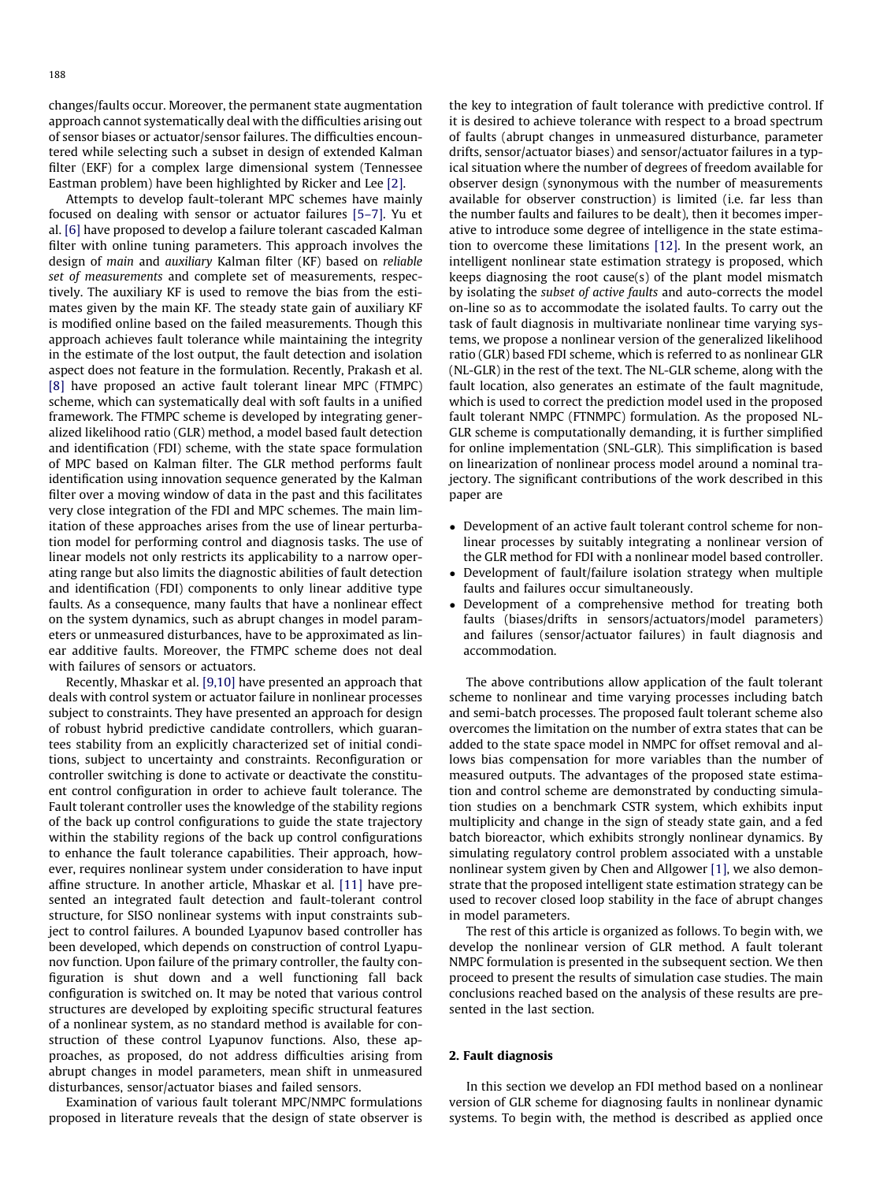changes/faults occur. Moreover, the permanent state augmentation approach cannot systematically deal with the difficulties arising out of sensor biases or actuator/sensor failures. The difficulties encountered while selecting such a subset in design of extended Kalman filter (EKF) for a complex large dimensional system (Tennessee Eastman problem) have been highlighted by Ricker and Lee [\[2\].](#page-17-0)

Attempts to develop fault-tolerant MPC schemes have mainly focused on dealing with sensor or actuator failures [\[5–7\]](#page-17-0). Yu et al. [\[6\]](#page-17-0) have proposed to develop a failure tolerant cascaded Kalman filter with online tuning parameters. This approach involves the design of main and auxiliary Kalman filter (KF) based on reliable set of measurements and complete set of measurements, respectively. The auxiliary KF is used to remove the bias from the estimates given by the main KF. The steady state gain of auxiliary KF is modified online based on the failed measurements. Though this approach achieves fault tolerance while maintaining the integrity in the estimate of the lost output, the fault detection and isolation aspect does not feature in the formulation. Recently, Prakash et al. [\[8\]](#page-17-0) have proposed an active fault tolerant linear MPC (FTMPC) scheme, which can systematically deal with soft faults in a unified framework. The FTMPC scheme is developed by integrating generalized likelihood ratio (GLR) method, a model based fault detection and identification (FDI) scheme, with the state space formulation of MPC based on Kalman filter. The GLR method performs fault identification using innovation sequence generated by the Kalman filter over a moving window of data in the past and this facilitates very close integration of the FDI and MPC schemes. The main limitation of these approaches arises from the use of linear perturbation model for performing control and diagnosis tasks. The use of linear models not only restricts its applicability to a narrow operating range but also limits the diagnostic abilities of fault detection and identification (FDI) components to only linear additive type faults. As a consequence, many faults that have a nonlinear effect on the system dynamics, such as abrupt changes in model parameters or unmeasured disturbances, have to be approximated as linear additive faults. Moreover, the FTMPC scheme does not deal with failures of sensors or actuators.

Recently, Mhaskar et al. [\[9,10\]](#page-17-0) have presented an approach that deals with control system or actuator failure in nonlinear processes subject to constraints. They have presented an approach for design of robust hybrid predictive candidate controllers, which guarantees stability from an explicitly characterized set of initial conditions, subject to uncertainty and constraints. Reconfiguration or controller switching is done to activate or deactivate the constituent control configuration in order to achieve fault tolerance. The Fault tolerant controller uses the knowledge of the stability regions of the back up control configurations to guide the state trajectory within the stability regions of the back up control configurations to enhance the fault tolerance capabilities. Their approach, however, requires nonlinear system under consideration to have input affine structure. In another article, Mhaskar et al. [\[11\]](#page-17-0) have presented an integrated fault detection and fault-tolerant control structure, for SISO nonlinear systems with input constraints subject to control failures. A bounded Lyapunov based controller has been developed, which depends on construction of control Lyapunov function. Upon failure of the primary controller, the faulty configuration is shut down and a well functioning fall back configuration is switched on. It may be noted that various control structures are developed by exploiting specific structural features of a nonlinear system, as no standard method is available for construction of these control Lyapunov functions. Also, these approaches, as proposed, do not address difficulties arising from abrupt changes in model parameters, mean shift in unmeasured disturbances, sensor/actuator biases and failed sensors.

Examination of various fault tolerant MPC/NMPC formulations proposed in literature reveals that the design of state observer is

the key to integration of fault tolerance with predictive control. If it is desired to achieve tolerance with respect to a broad spectrum of faults (abrupt changes in unmeasured disturbance, parameter drifts, sensor/actuator biases) and sensor/actuator failures in a typical situation where the number of degrees of freedom available for observer design (synonymous with the number of measurements available for observer construction) is limited (i.e. far less than the number faults and failures to be dealt), then it becomes imperative to introduce some degree of intelligence in the state estimation to overcome these limitations [\[12\]](#page-17-0). In the present work, an intelligent nonlinear state estimation strategy is proposed, which keeps diagnosing the root cause(s) of the plant model mismatch by isolating the subset of active faults and auto-corrects the model on-line so as to accommodate the isolated faults. To carry out the task of fault diagnosis in multivariate nonlinear time varying systems, we propose a nonlinear version of the generalized likelihood ratio (GLR) based FDI scheme, which is referred to as nonlinear GLR (NL-GLR) in the rest of the text. The NL-GLR scheme, along with the fault location, also generates an estimate of the fault magnitude, which is used to correct the prediction model used in the proposed fault tolerant NMPC (FTNMPC) formulation. As the proposed NL-GLR scheme is computationally demanding, it is further simplified for online implementation (SNL-GLR). This simplification is based on linearization of nonlinear process model around a nominal trajectory. The significant contributions of the work described in this paper are

- Development of an active fault tolerant control scheme for nonlinear processes by suitably integrating a nonlinear version of the GLR method for FDI with a nonlinear model based controller.
- Development of fault/failure isolation strategy when multiple faults and failures occur simultaneously.
- Development of a comprehensive method for treating both faults (biases/drifts in sensors/actuators/model parameters) and failures (sensor/actuator failures) in fault diagnosis and accommodation.

The above contributions allow application of the fault tolerant scheme to nonlinear and time varying processes including batch and semi-batch processes. The proposed fault tolerant scheme also overcomes the limitation on the number of extra states that can be added to the state space model in NMPC for offset removal and allows bias compensation for more variables than the number of measured outputs. The advantages of the proposed state estimation and control scheme are demonstrated by conducting simulation studies on a benchmark CSTR system, which exhibits input multiplicity and change in the sign of steady state gain, and a fed batch bioreactor, which exhibits strongly nonlinear dynamics. By simulating regulatory control problem associated with a unstable nonlinear system given by Chen and Allgower [\[1\]](#page-17-0), we also demonstrate that the proposed intelligent state estimation strategy can be used to recover closed loop stability in the face of abrupt changes in model parameters.

The rest of this article is organized as follows. To begin with, we develop the nonlinear version of GLR method. A fault tolerant NMPC formulation is presented in the subsequent section. We then proceed to present the results of simulation case studies. The main conclusions reached based on the analysis of these results are presented in the last section.

## 2. Fault diagnosis

In this section we develop an FDI method based on a nonlinear version of GLR scheme for diagnosing faults in nonlinear dynamic systems. To begin with, the method is described as applied once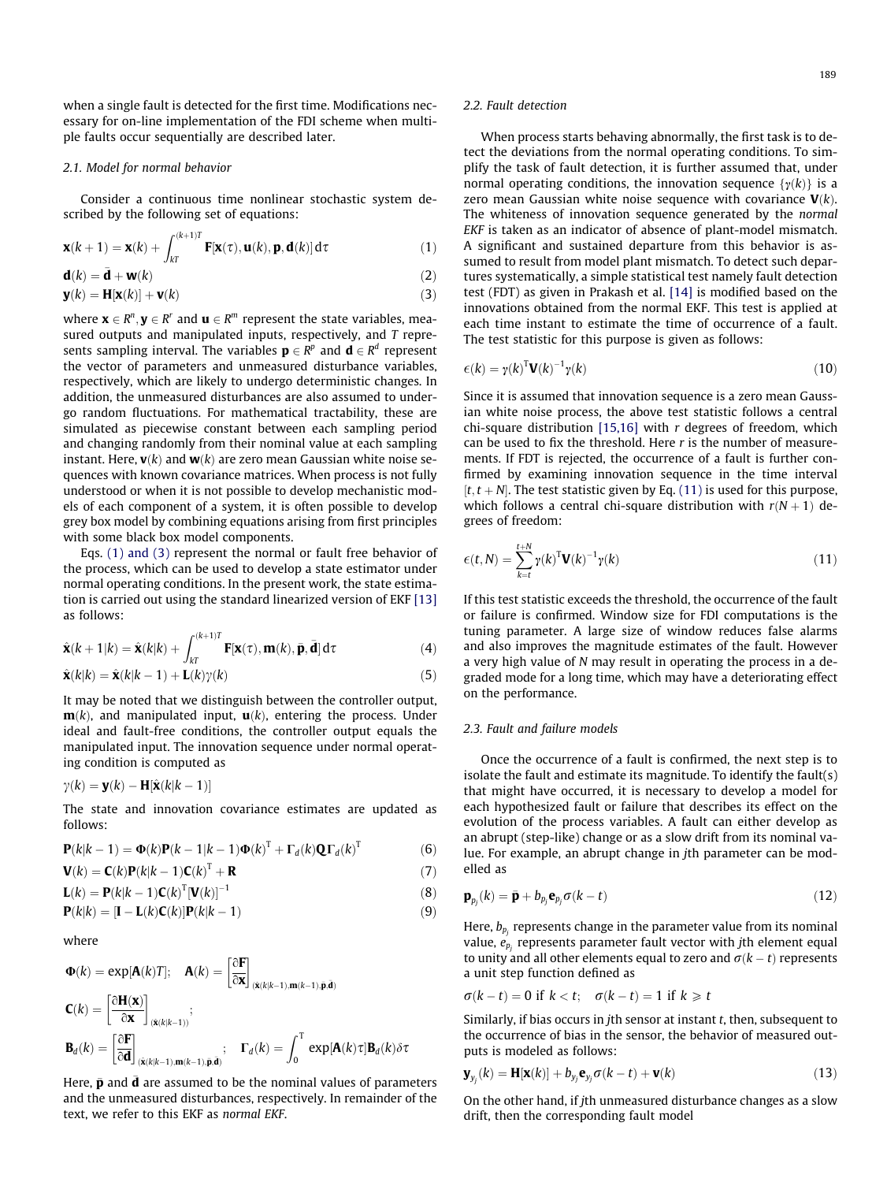<span id="page-2-0"></span>when a single fault is detected for the first time. Modifications necessary for on-line implementation of the FDI scheme when multiple faults occur sequentially are described later.

#### 2.1. Model for normal behavior

Consider a continuous time nonlinear stochastic system described by the following set of equations:

$$
\mathbf{x}(k+1) = \mathbf{x}(k) + \int_{kT}^{(k+1)T} \mathbf{F}[\mathbf{x}(\tau), \mathbf{u}(k), \mathbf{p}, \mathbf{d}(k)] d\tau
$$
 (1)

$$
\mathbf{d}(k) = \bar{\mathbf{d}} + \mathbf{w}(k) \tag{2}
$$

$$
\mathbf{y}(k) = \mathbf{H}[\mathbf{x}(k)] + \mathbf{v}(k) \tag{3}
$$

where  $\mathbf{x} \in R^n, \mathbf{y} \in R^r$  and  $\mathbf{u} \in R^m$  represent the state variables, measured outputs and manipulated inputs, respectively, and T represents sampling interval. The variables  $\mathbf{p} \in \mathbb{R}^p$  and  $\mathbf{d} \in \mathbb{R}^d$  represent the vector of parameters and unmeasured disturbance variables, respectively, which are likely to undergo deterministic changes. In addition, the unmeasured disturbances are also assumed to undergo random fluctuations. For mathematical tractability, these are simulated as piecewise constant between each sampling period and changing randomly from their nominal value at each sampling instant. Here,  $\mathbf{v}(k)$  and  $\mathbf{w}(k)$  are zero mean Gaussian white noise sequences with known covariance matrices. When process is not fully understood or when it is not possible to develop mechanistic models of each component of a system, it is often possible to develop grey box model by combining equations arising from first principles with some black box model components.

Eqs. (1) and (3) represent the normal or fault free behavior of the process, which can be used to develop a state estimator under normal operating conditions. In the present work, the state estimation is carried out using the standard linearized version of EKF [\[13\]](#page-17-0) as follows:

$$
\hat{\mathbf{x}}(k+1|k) = \hat{\mathbf{x}}(k|k) + \int_{kT}^{(k+1)T} \mathbf{F}[\mathbf{x}(\tau), \mathbf{m}(k), \bar{\mathbf{p}}, \bar{\mathbf{d}}] d\tau
$$
(4)

$$
\hat{\mathbf{x}}(k|k) = \hat{\mathbf{x}}(k|k-1) + \mathbf{L}(k)\gamma(k)
$$
\n(5)

It may be noted that we distinguish between the controller output,  $\mathbf{m}(k)$ , and manipulated input,  $\mathbf{u}(k)$ , entering the process. Under ideal and fault-free conditions, the controller output equals the manipulated input. The innovation sequence under normal operating condition is computed as

$$
\gamma(k) = \mathbf{y}(k) - \mathbf{H}[\hat{\mathbf{x}}(k|k-1)]
$$

The state and innovation covariance estimates are updated as follows:

$$
\mathbf{P}(k|k-1) = \mathbf{\Phi}(k)\mathbf{P}(k-1|k-1)\mathbf{\Phi}(k)^{\mathrm{T}} + \mathbf{\Gamma}_d(k)\mathbf{Q}\mathbf{\Gamma}_d(k)^{\mathrm{T}}
$$
(6)

$$
\mathbf{V}(k) = \mathbf{C}(k)\mathbf{P}(k|k-1)\mathbf{C}(k)^{\mathrm{T}} + \mathbf{R}
$$
\n(7)

$$
\mathbf{L}(k) = \mathbf{P}(k|k-1)\mathbf{C}(k)^{\mathrm{T}}[\mathbf{V}(k)]^{-1}
$$
\n(8)

$$
\mathbf{P}(k|k) = [\mathbf{I} - \mathbf{L}(k)\mathbf{C}(k)]\mathbf{P}(k|k-1)
$$
\n(9)

where

$$
\Phi(k) = \exp[\mathbf{A}(k)T]; \quad \mathbf{A}(k) = \left[\frac{\partial \mathbf{F}}{\partial \mathbf{x}}\right]_{(\hat{\mathbf{x}}(k|k-1), \mathbf{m}(k-1), \bar{\mathbf{p}}, \bar{\mathbf{d}})}
$$

$$
\mathbf{C}(k) = \left[\frac{\partial \mathbf{H}(\mathbf{x})}{\partial \mathbf{x}}\right]_{(\hat{\mathbf{x}}(k|k-1))};
$$

$$
\mathbf{B}_d(k) = \left[\frac{\partial \mathbf{F}}{\partial \mathbf{d}}\right]_{(\hat{\mathbf{x}}(k|k-1), \mathbf{m}(k-1), \bar{\mathbf{p}}, \bar{\mathbf{d}})}; \quad \Gamma_d(k) = \int_0^T \exp[\mathbf{A}(k)\tau] \mathbf{B}_d(k) \delta \tau
$$

Here,  $\bar{\mathbf{p}}$  and  $\bar{\mathbf{d}}$  are assumed to be the nominal values of parameters and the unmeasured disturbances, respectively. In remainder of the text, we refer to this EKF as normal EKF.

## 2.2. Fault detection

When process starts behaving abnormally, the first task is to detect the deviations from the normal operating conditions. To simplify the task of fault detection, it is further assumed that, under normal operating conditions, the innovation sequence  $\{y(k)\}\$ is a zero mean Gaussian white noise sequence with covariance  $V(k)$ . The whiteness of innovation sequence generated by the normal EKF is taken as an indicator of absence of plant-model mismatch. A significant and sustained departure from this behavior is assumed to result from model plant mismatch. To detect such departures systematically, a simple statistical test namely fault detection test (FDT) as given in Prakash et al. [\[14\]](#page-17-0) is modified based on the innovations obtained from the normal EKF. This test is applied at each time instant to estimate the time of occurrence of a fault. The test statistic for this purpose is given as follows:

$$
\epsilon(k) = \gamma(k)^{\mathrm{T}} \mathbf{V}(k)^{-1} \gamma(k)
$$
\n(10)

Since it is assumed that innovation sequence is a zero mean Gaussian white noise process, the above test statistic follows a central chi-square distribution [\[15,16\]](#page-17-0) with  $r$  degrees of freedom, which can be used to fix the threshold. Here  $r$  is the number of measurements. If FDT is rejected, the occurrence of a fault is further confirmed by examining innovation sequence in the time interval  $[t, t + N]$ . The test statistic given by Eq. [\(11\)](#page-3-0) is used for this purpose, which follows a central chi-square distribution with  $r(N + 1)$  degrees of freedom:

$$
\epsilon(t, N) = \sum_{k=t}^{t+N} \gamma(k)^{\mathrm{T}} \mathbf{V}(k)^{-1} \gamma(k)
$$
\n(11)

If this test statistic exceeds the threshold, the occurrence of the fault or failure is confirmed. Window size for FDI computations is the tuning parameter. A large size of window reduces false alarms and also improves the magnitude estimates of the fault. However a very high value of N may result in operating the process in a degraded mode for a long time, which may have a deteriorating effect on the performance.

## 2.3. Fault and failure models

Once the occurrence of a fault is confirmed, the next step is to isolate the fault and estimate its magnitude. To identify the fault(s) that might have occurred, it is necessary to develop a model for each hypothesized fault or failure that describes its effect on the evolution of the process variables. A fault can either develop as an abrupt (step-like) change or as a slow drift from its nominal value. For example, an abrupt change in jth parameter can be modelled as

$$
\mathbf{p}_{p_j}(k) = \bar{\mathbf{p}} + b_{p_j} \mathbf{e}_{p_j} \sigma(k - t) \tag{12}
$$

Here,  $b_{p_i}$  represents change in the parameter value from its nominal value,  $e_{p_i}$  represents parameter fault vector with *j*th element equal to unity and all other elements equal to zero and  $\sigma(k - t)$  represents a unit step function defined as

$$
\sigma(k-t) = 0 \text{ if } k < t; \quad \sigma(k-t) = 1 \text{ if } k \geq t
$$

Similarly, if bias occurs in jth sensor at instant  $t$ , then, subsequent to the occurrence of bias in the sensor, the behavior of measured outputs is modeled as follows:

$$
\mathbf{y}_{y_j}(k) = \mathbf{H}[\mathbf{x}(k)] + b_{y_j} \mathbf{e}_{y_j} \sigma(k-t) + \mathbf{v}(k)
$$
\n(13)

On the other hand, if jth unmeasured disturbance changes as a slow drift, then the corresponding fault model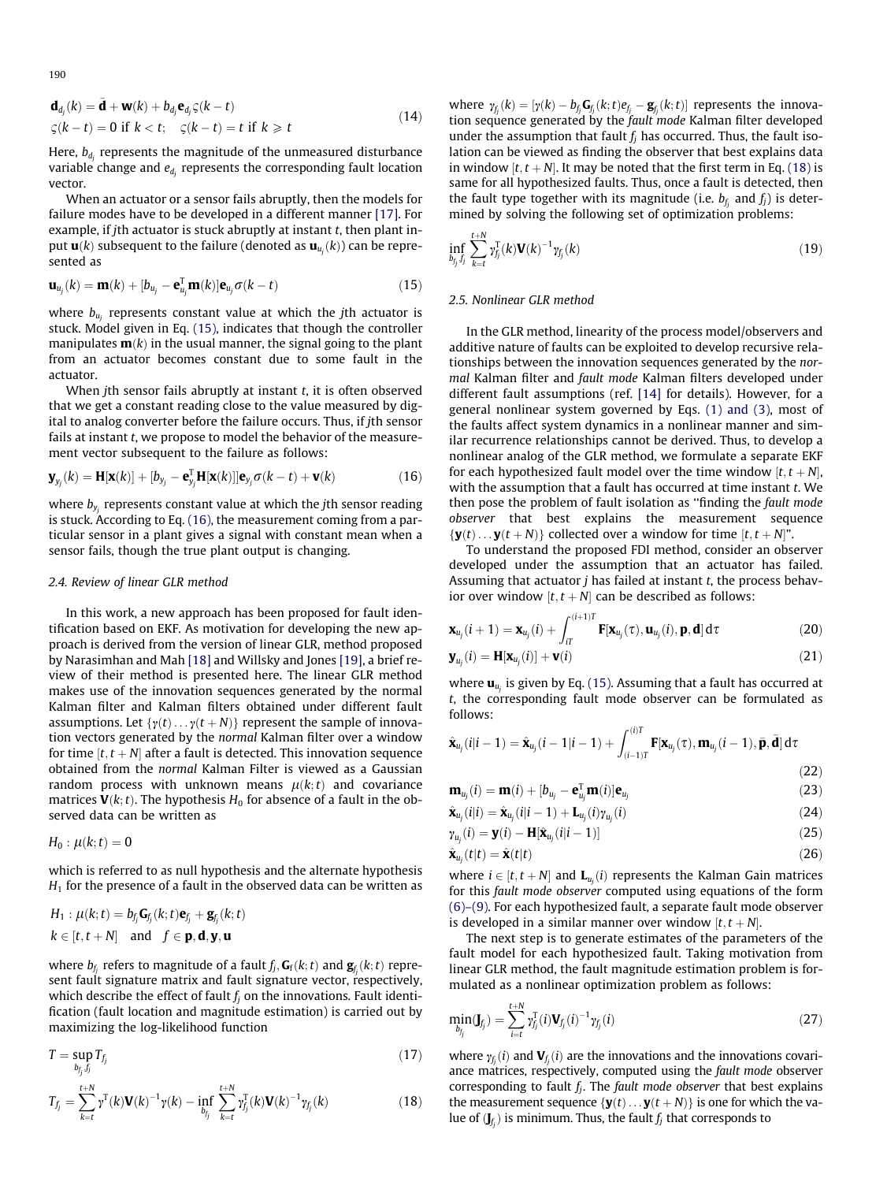<span id="page-3-0"></span>
$$
\mathbf{d}_{d_j}(k) = \bar{\mathbf{d}} + \mathbf{w}(k) + b_{d_j} \mathbf{e}_{d_j} \varsigma(k - t)
$$
  
\n
$$
\varsigma(k - t) = 0 \text{ if } k < t; \quad \varsigma(k - t) = t \text{ if } k \geq t
$$
\n(14)

Here,  $b_{d}$  represents the magnitude of the unmeasured disturbance variable change and  $e_{d_i}$  represents the corresponding fault location vector.

When an actuator or a sensor fails abruptly, then the models for failure modes have to be developed in a different manner [\[17\]](#page-17-0). For example, if jth actuator is stuck abruptly at instant  $t$ , then plant input  $\mathbf{u}(k)$  subsequent to the failure (denoted as  $\mathbf{u}_{u_j}(k)$ ) can be represented as

$$
\mathbf{u}_{u_j}(k) = \mathbf{m}(k) + [b_{u_j} - \mathbf{e}_{u_j}^{\mathrm{T}} \mathbf{m}(k)] \mathbf{e}_{u_j} \sigma(k - t)
$$
\n(15)

where  $b_{u_i}$  represents constant value at which the jth actuator is stuck. Model given in Eq. (15), indicates that though the controller manipulates  $\mathbf{m}(k)$  in the usual manner, the signal going to the plant from an actuator becomes constant due to some fault in the actuator.

When *j*th sensor fails abruptly at instant  $t$ , it is often observed that we get a constant reading close to the value measured by digital to analog converter before the failure occurs. Thus, if jth sensor fails at instant t, we propose to model the behavior of the measurement vector subsequent to the failure as follows:

$$
\mathbf{y}_{y_j}(k) = \mathbf{H}[\mathbf{x}(k)] + [b_{y_j} - \mathbf{e}_{y_j}^{\mathrm{T}} \mathbf{H}[\mathbf{x}(k)]] \mathbf{e}_{y_j} \sigma(k-t) + \mathbf{v}(k)
$$
(16)

where  $b_{y_i}$  represents constant value at which the jth sensor reading is stuck. According to Eq. (16), the measurement coming from a particular sensor in a plant gives a signal with constant mean when a sensor fails, though the true plant output is changing.

#### 2.4. Review of linear GLR method

In this work, a new approach has been proposed for fault identification based on EKF. As motivation for developing the new approach is derived from the version of linear GLR, method proposed by Narasimhan and Mah [\[18\]](#page-17-0) and Willsky and Jones [\[19\]](#page-17-0), a brief review of their method is presented here. The linear GLR method makes use of the innovation sequences generated by the normal Kalman filter and Kalman filters obtained under different fault assumptions. Let  $\{\gamma(t) \dots \gamma(t+N)\}\$  represent the sample of innovation vectors generated by the normal Kalman filter over a window for time  $[t, t + N]$  after a fault is detected. This innovation sequence obtained from the normal Kalman Filter is viewed as a Gaussian random process with unknown means  $\mu(k;t)$  and covariance matrices  $V(k; t)$ . The hypothesis  $H_0$  for absence of a fault in the observed data can be written as

 $H_0$  :  $\mu(k; t) = 0$ 

which is referred to as null hypothesis and the alternate hypothesis  $H_1$  for the presence of a fault in the observed data can be written as

$$
H_1: \mu(k; t) = b_{f_j} \mathbf{G}_{f_j}(k; t) \mathbf{e}_{f_j} + \mathbf{g}_{f_j}(k; t)
$$
  

$$
k \in [t, t + N] \text{ and } f \in \mathbf{p}, \mathbf{d}, \mathbf{y}, \mathbf{u}
$$

where  $b_{\textit{f}_{\textit{j}}}$  refers to magnitude of a fault  $\textit{f}_{\textit{j}},$   $\textbf{G}_{\textit{f}}(k;t)$  and  $\textbf{g}_{\textit{f}_{\textit{j}}}(k;t)$  represent fault signature matrix and fault signature vector, respectively, which describe the effect of fault  $f_i$  on the innovations. Fault identification (fault location and magnitude estimation) is carried out by maximizing the log-likelihood function

$$
T = \sup_{b_{f_j}, f_j} T_{f_j} \tag{17}
$$

$$
T_{f_j} = \sum_{k=t}^{t+N} \gamma^{\mathrm{T}}(k) \mathbf{V}(k)^{-1} \gamma(k) - \inf_{b_{f_j}} \sum_{k=t}^{t+N} \gamma_{f_j}^{\mathrm{T}}(k) \mathbf{V}(k)^{-1} \gamma_{f_j}(k)
$$
(18)

where  $\gamma_{f_j}(k) = [\gamma(k) - b_{f_j}G_{f_j}(k;t)e_{f_j} - \mathbf{g}_{f_j}(k;t)]$  represents the innovation sequence generated by the fault mode Kalman filter developed under the assumption that fault  $f_i$  has occurred. Thus, the fault isolation can be viewed as finding the observer that best explains data in window  $[t, t + N]$ . It may be noted that the first term in Eq. (18) is same for all hypothesized faults. Thus, once a fault is detected, then the fault type together with its magnitude (i.e.  $b_{f_i}$  and  $f_j$ ) is determined by solving the following set of optimization problems:

$$
\inf_{b_{f_j}, f_j} \sum_{k=t}^{t+N} \gamma_{f_j}^{\mathrm{T}}(k) \mathbf{V}(k)^{-1} \gamma_{f_j}(k) \tag{19}
$$

## 2.5. Nonlinear GLR method

In the GLR method, linearity of the process model/observers and additive nature of faults can be exploited to develop recursive relationships between the innovation sequences generated by the normal Kalman filter and fault mode Kalman filters developed under different fault assumptions (ref. [\[14\]](#page-17-0) for details). However, for a general nonlinear system governed by Eqs. [\(1\) and \(3\)](#page-2-0), most of the faults affect system dynamics in a nonlinear manner and similar recurrence relationships cannot be derived. Thus, to develop a nonlinear analog of the GLR method, we formulate a separate EKF for each hypothesized fault model over the time window  $[t, t + N]$ , with the assumption that a fault has occurred at time instant  $t$ . We then pose the problem of fault isolation as "finding the fault mode observer that best explains the measurement sequence  $\{y(t) \dots y(t+N)\}\)$  collected over a window for time  $[t, t+N]$ ".

To understand the proposed FDI method, consider an observer developed under the assumption that an actuator has failed. Assuming that actuator  $j$  has failed at instant  $t$ , the process behavior over window  $[t, t + N]$  can be described as follows:

$$
\mathbf{x}_{u_j}(i+1) = \mathbf{x}_{u_j}(i) + \int_{i}^{(i+1)T} \mathbf{F}[\mathbf{x}_{u_j}(\tau), \mathbf{u}_{u_j}(i), \mathbf{p}, \mathbf{d}] d\tau
$$
\n(20)

$$
\mathbf{y}_{u_j}(i) = \mathbf{H}[\mathbf{x}_{u_j}(i)] + \mathbf{v}(i)
$$
\n(21)

where  $\mathbf{u}_{u_i}$  is given by Eq. (15). Assuming that a fault has occurred at  $t$ , the corresponding fault mode observer can be formulated as follows:

$$
\hat{\mathbf{x}}_{u_j}(i|i-1) = \hat{\mathbf{x}}_{u_j}(i-1|i-1) + \int_{(i-1)T}^{(i)T} \mathbf{F}[\mathbf{x}_{u_j}(\tau), \mathbf{m}_{u_j}(i-1), \bar{\mathbf{p}}, \bar{\mathbf{d}}] d\tau
$$
\n(22)

$$
\mathbf{m}_{u_j}(i) = \mathbf{m}(i) + [b_{u_j} - \mathbf{e}_{u_j}^{\mathrm{T}} \mathbf{m}(i)] \mathbf{e}_{u_j}
$$
 (23)

$$
\hat{\mathbf{x}}_{u_j}(i|i) = \hat{\mathbf{x}}_{u_j}(i|i-1) + \mathbf{L}_{u_j}(i)\gamma_{u_j}(i)
$$
\n(24)

$$
\gamma_{u_j}(i) = \mathbf{y}(i) - \mathbf{H}[\hat{\mathbf{x}}_{u_j}(i|i-1)]
$$
\n(25)

$$
\hat{\mathbf{x}}_{u_j}(t|t) = \hat{\mathbf{x}}(t|t) \tag{26}
$$

where  $i \in [t, t + N]$  and  $\mathbf{L}_{u_j}(i)$  represents the Kalman Gain matrices for this fault mode observer computed using equations of the form [\(6\)–\(9\).](#page-2-0) For each hypothesized fault, a separate fault mode observer is developed in a similar manner over window  $[t, t + N]$ .

The next step is to generate estimates of the parameters of the fault model for each hypothesized fault. Taking motivation from linear GLR method, the fault magnitude estimation problem is formulated as a nonlinear optimization problem as follows:

$$
\min_{b_{f_j}}(\mathbf{J}_{f_j}) = \sum_{i=t}^{t+N} \gamma_{f_j}^{\mathrm{T}}(i) \mathbf{V}_{f_j}(i)^{-1} \gamma_{f_j}(i)
$$
\n(27)

where  $\gamma_{f_j}(i)$  and  $\mathbf{V}_{f_j}(i)$  are the innovations and the innovations covariance matrices, respectively, computed using the fault mode observer corresponding to fault  $f_j$ . The fault mode observer that best explains the measurement sequence  $\{y(t) \dots y(t+N)\}\$ is one for which the value of  $(\mathbf{J}_{f_i})$  is minimum. Thus, the fault  $f_j$  that corresponds to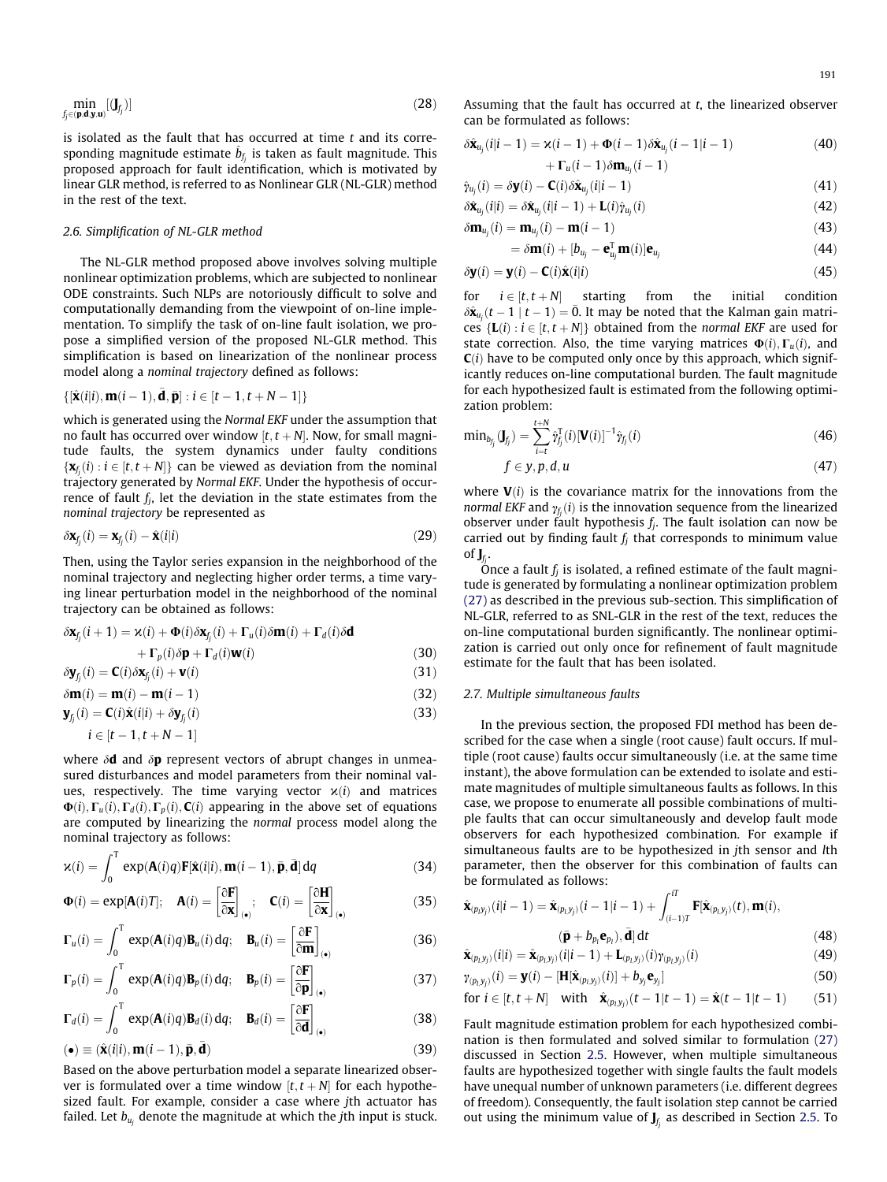$$
\min_{f_j \in (\mathbf{p}, \mathbf{d}, \mathbf{y}, \mathbf{u})} [(\mathbf{J}_{f_j})] \tag{28}
$$

is isolated as the fault that has occurred at time  $t$  and its corresponding magnitude estimate  $\hat{b}_{\mathit{f_j}}$  is taken as fault magnitude. This proposed approach for fault identification, which is motivated by linear GLR method, is referred to as Nonlinear GLR (NL-GLR) method in the rest of the text.

# 2.6. Simplification of NL-GLR method

The NL-GLR method proposed above involves solving multiple nonlinear optimization problems, which are subjected to nonlinear ODE constraints. Such NLPs are notoriously difficult to solve and computationally demanding from the viewpoint of on-line implementation. To simplify the task of on-line fault isolation, we propose a simplified version of the proposed NL-GLR method. This simplification is based on linearization of the nonlinear process model along a nominal trajectory defined as follows:

$$
\{[\hat{\mathbf{x}}(i|i), \mathbf{m}(i-1), \bar{\mathbf{d}}, \bar{\mathbf{p}}] : i \in [t-1, t+N-1]\}
$$

which is generated using the Normal EKF under the assumption that no fault has occurred over window  $[t, t + N]$ . Now, for small magnitude faults, the system dynamics under faulty conditions  $\{ \mathbf{x}_{f_j}(i): i \in [t, t+N]\}$  can be viewed as deviation from the nominal trajectory generated by Normal EKF. Under the hypothesis of occurrence of fault  $f_i$ , let the deviation in the state estimates from the nominal trajectory be represented as

$$
\delta \mathbf{x}_{f_j}(i) = \mathbf{x}_{f_j}(i) - \hat{\mathbf{x}}(i|i) \tag{29}
$$

Then, using the Taylor series expansion in the neighborhood of the nominal trajectory and neglecting higher order terms, a time varying linear perturbation model in the neighborhood of the nominal trajectory can be obtained as follows:

$$
\delta \mathbf{x}_{f_j}(i+1) = \varkappa(i) + \Phi(i)\delta \mathbf{x}_{f_j}(i) + \Gamma_u(i)\delta \mathbf{m}(i) + \Gamma_d(i)\delta \mathbf{d} + \Gamma_p(i)\delta \mathbf{p} + \Gamma_d(i)\mathbf{w}(i) \delta \mathbf{y}_{f_j}(i) = \mathbf{C}(i)\delta \mathbf{x}_{f_j}(i) + \mathbf{v}(i)
$$
\n(31)

$$
\delta \mathbf{m}(i) = \mathbf{m}(i) - \mathbf{m}(i-1) \tag{32}
$$

$$
\mathbf{y}_{f_j}(i) = \mathbf{C}(i)\hat{\mathbf{x}}(i|i) + \delta \mathbf{y}_{f_j}(i)
$$
\n(33)

$$
i\in [t-1,t+N-1]
$$

where  $\delta \mathbf{d}$  and  $\delta \mathbf{p}$  represent vectors of abrupt changes in unmeasured disturbances and model parameters from their nominal values, respectively. The time varying vector  $\mathbf{x}(i)$  and matrices  $\Phi(i), \Gamma_u(i), \Gamma_d(i), \Gamma_n(i), C(i)$  appearing in the above set of equations are computed by linearizing the normal process model along the nominal trajectory as follows:

$$
\mathbf{x}(i) = \int_0^T \exp(\mathbf{A}(i)q)\mathbf{F}[\hat{\mathbf{x}}(i|i), \mathbf{m}(i-1), \bar{\mathbf{p}}, \bar{\mathbf{d}}] \, \mathrm{d}q \tag{34}
$$

$$
\Phi(i) = \exp[\mathbf{A}(i)T]; \quad \mathbf{A}(i) = \left[\frac{\partial \mathbf{F}}{\partial \mathbf{x}}\right]_{(\bullet)}; \quad \mathbf{C}(i) = \left[\frac{\partial \mathbf{H}}{\partial \mathbf{x}}\right]_{(\bullet)} \tag{35}
$$

$$
\Gamma_u(i) = \int_0^T \exp(\mathbf{A}(i)q)\mathbf{B}_u(i) dq; \quad \mathbf{B}_u(i) = \left[\frac{\partial \mathbf{F}}{\partial \mathbf{m}}\right]_{(\bullet)}
$$
(36)

$$
\Gamma_p(i) = \int_0^T \exp(\mathbf{A}(i)q)\mathbf{B}_p(i) dq; \quad \mathbf{B}_p(i) = \left[\frac{\partial \mathbf{F}}{\partial \mathbf{p}}\right]_{(\bullet)}
$$
(37)

$$
\Gamma_d(i) = \int_0^T \exp(\mathbf{A}(i)q)\mathbf{B}_d(i) dq; \quad \mathbf{B}_d(i) = \left[\frac{\partial \mathbf{F}}{\partial \mathbf{d}}\right]_{(\bullet)}
$$
(38)

$$
(\bullet) \equiv (\hat{\mathbf{x}}(i|i), \mathbf{m}(i-1), \bar{\mathbf{p}}, \bar{\mathbf{d}})
$$
\n(39)

Based on the above perturbation model a separate linearized observer is formulated over a time window  $[t, t + N]$  for each hypothesized fault. For example, consider a case where jth actuator has failed. Let  $b_{u_i}$  denote the magnitude at which the jth input is stuck. Assuming that the fault has occurred at  $t$ , the linearized observer can be formulated as follows:

$$
\delta \hat{\mathbf{x}}_{u_j}(i|i-1) = \varkappa(i-1) + \Phi(i-1)\delta \hat{\mathbf{x}}_{u_j}(i-1|i-1) + \Gamma_u(i-1)\delta \mathbf{m}_{u_j}(i-1)
$$
\n(40)

$$
\hat{\gamma}_{u_j}(i) = \delta \mathbf{y}(i) - \mathbf{C}(i) \delta \hat{\mathbf{x}}_{u_j}(i|i-1)
$$
\n(41)

$$
\delta \hat{\mathbf{x}}_{u_j}(i|i) = \delta \hat{\mathbf{x}}_{u_j}(i|i-1) + \mathbf{L}(i)\hat{\mathbf{y}}_{u_j}(i)
$$
\n(42)

$$
\delta \mathbf{m}_{u_j}(i) = \mathbf{m}_{u_j}(i) - \mathbf{m}(i-1) \tag{43}
$$

$$
= \delta \mathbf{m}(i) + [b_{u_j} - \mathbf{e}_{u_j}^{\mathrm{T}} \mathbf{m}(i)] \mathbf{e}_{u_j}
$$
 (44)

$$
\delta \mathbf{y}(i) = \mathbf{y}(i) - \mathbf{C}(i)\hat{\mathbf{x}}(i|i) \tag{45}
$$

for  $i \in [t, t + N]$  starting from the initial condition  $\delta\hat{\mathbf{x}}_{u_j}(t-1 \mid t-1) = \bar{0}$ . It may be noted that the Kalman gain matrices {**L**(*i*) :  $i \in [t, t + N]$ } obtained from the normal EKF are used for state correction. Also, the time varying matrices  $\Phi(i)$ ,  $\Gamma_u(i)$ , and  $C(i)$  have to be computed only once by this approach, which significantly reduces on-line computational burden. The fault magnitude for each hypothesized fault is estimated from the following optimization problem:

$$
\min_{b_{f_j}}(\mathbf{J}_{f_j}) = \sum_{i=t}^{t+N} \hat{\eta}_j^{\mathrm{T}}(i) [\mathbf{V}(i)]^{-1} \hat{\gamma}_{f_j}(i) \tag{46}
$$

$$
f \in \mathbf{y}, p, d, u \tag{47}
$$

where  **is the covariance matrix for the innovations from the** *normal EKF* and  $\gamma_{f_j}(i)$  is the innovation sequence from the linearized observer under fault hypothesis  $f_i$ . The fault isolation can now be carried out by finding fault  $f_i$  that corresponds to minimum value of  $\mathbf{J}_{f_j}$ .

Once a fault  $f_i$  is isolated, a refined estimate of the fault magnitude is generated by formulating a nonlinear optimization problem [\(27\)](#page-3-0) as described in the previous sub-section. This simplification of NL-GLR, referred to as SNL-GLR in the rest of the text, reduces the on-line computational burden significantly. The nonlinear optimization is carried out only once for refinement of fault magnitude estimate for the fault that has been isolated.

# 2.7. Multiple simultaneous faults

In the previous section, the proposed FDI method has been described for the case when a single (root cause) fault occurs. If multiple (root cause) faults occur simultaneously (i.e. at the same time instant), the above formulation can be extended to isolate and estimate magnitudes of multiple simultaneous faults as follows. In this case, we propose to enumerate all possible combinations of multiple faults that can occur simultaneously and develop fault mode observers for each hypothesized combination. For example if simultaneous faults are to be hypothesized in jth sensor and lth parameter, then the observer for this combination of faults can be formulated as follows:

$$
\hat{\mathbf{x}}_{(p_i, y_j)}(i|i-1) = \hat{\mathbf{x}}_{(p_i, y_j)}(i-1|i-1) + \int_{(i-1)T}^{iT} \mathbf{F}[\hat{\mathbf{x}}_{(p_i, y_j)}(t), \mathbf{m}(i),
$$

$$
(\bar{\mathbf{p}} + b_{p_1} \mathbf{e}_{p_1}), \bar{\mathbf{d}}] dt
$$
(48)  

$$
\hat{\mathbf{x}}_{(2,1)}(i|i) = \hat{\mathbf{x}}_{(2,1)}(i|i-1) + \mathbf{L}_{(2,1)}(i)\mathbf{y}_{(1)}(i)
$$
(49)

$$
\mathbf{A}(p_i, y_j) \left( \mathbf{l} | \mathbf{l} \right) = \mathbf{A}(p_i, y_j) \left( \mathbf{l} | \mathbf{l} \right) = \mathbf{1} \mathbf{I} + \mathbf{L}(p_i, y_j) \left( \mathbf{l} \right) \mathbf{V}(p_i, y_j) \left( \mathbf{l} \right)
$$
\n
$$
(43)
$$

$$
\gamma_{(p_i, y_j)}(i) = \mathbf{y}(i) - [\mathbf{H}[\hat{\mathbf{x}}_{(p_i, y_j)}(i)] + b_{y_j} \mathbf{e}_{y_j}] \tag{50}
$$

for 
$$
i \in [t, t + N]
$$
 with  $\hat{\mathbf{x}}_{(p_i, y_j)}(t - 1|t - 1) = \hat{\mathbf{x}}(t - 1|t - 1)$  (51)

Fault magnitude estimation problem for each hypothesized combination is then formulated and solved similar to formulation [\(27\)](#page-3-0) discussed in Section [2.5.](#page-3-0) However, when multiple simultaneous faults are hypothesized together with single faults the fault models have unequal number of unknown parameters (i.e. different degrees of freedom). Consequently, the fault isolation step cannot be carried out using the minimum value of  $J_f$  as described in Section [2.5.](#page-3-0) To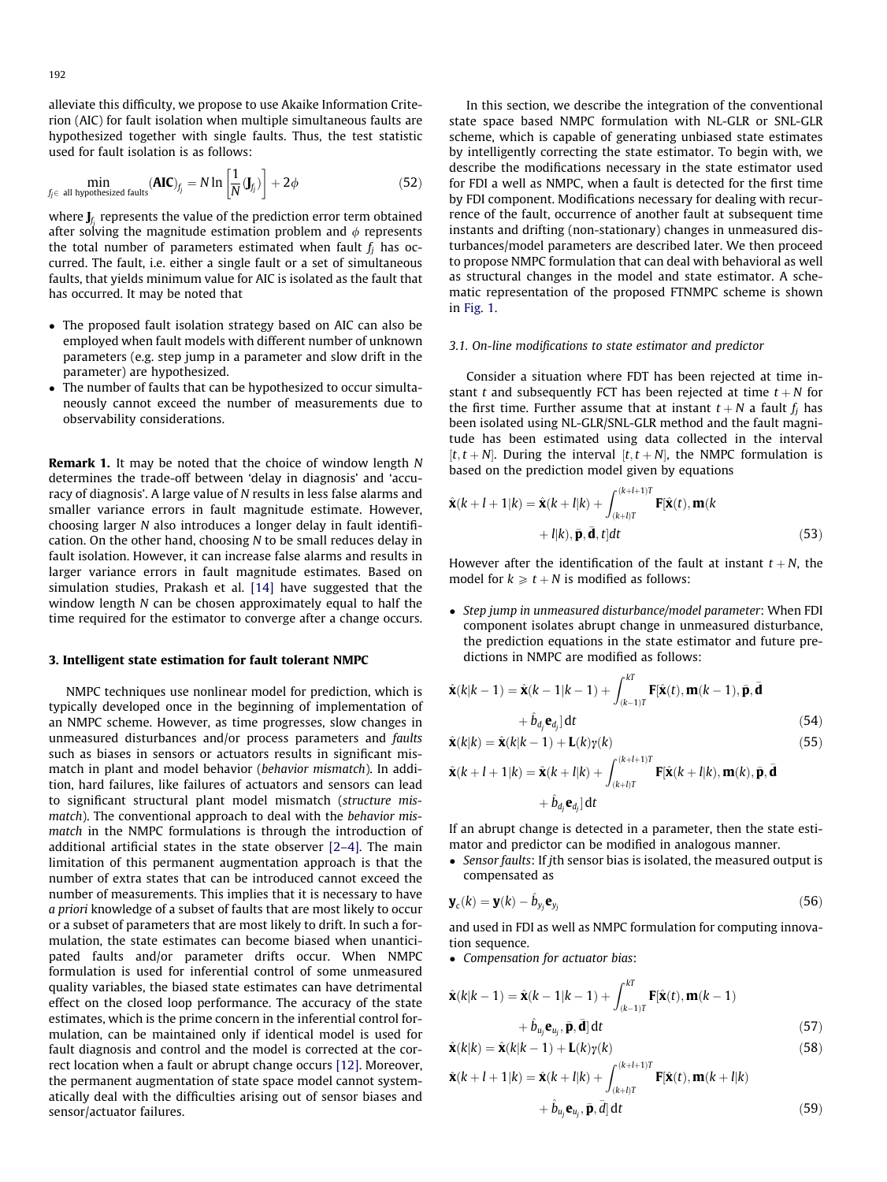<span id="page-5-0"></span>alleviate this difficulty, we propose to use Akaike Information Criterion (AIC) for fault isolation when multiple simultaneous faults are hypothesized together with single faults. Thus, the test statistic used for fault isolation is as follows:

$$
\min_{f_j \in \text{ all hypothesized faults}} (\text{AIC})_{f_j} = N \ln \left[ \frac{1}{N} (\mathbf{J}_{f_j}) \right] + 2\phi \tag{52}
$$

where  $J_f$  represents the value of the prediction error term obtained after solving the magnitude estimation problem and  $\phi$  represents the total number of parameters estimated when fault  $f_i$  has occurred. The fault, i.e. either a single fault or a set of simultaneous faults, that yields minimum value for AIC is isolated as the fault that has occurred. It may be noted that

- The proposed fault isolation strategy based on AIC can also be employed when fault models with different number of unknown parameters (e.g. step jump in a parameter and slow drift in the parameter) are hypothesized.
- The number of faults that can be hypothesized to occur simultaneously cannot exceed the number of measurements due to observability considerations.

Remark 1. It may be noted that the choice of window length N determines the trade-off between 'delay in diagnosis' and 'accuracy of diagnosis'. A large value of N results in less false alarms and smaller variance errors in fault magnitude estimate. However, choosing larger N also introduces a longer delay in fault identification. On the other hand, choosing N to be small reduces delay in fault isolation. However, it can increase false alarms and results in larger variance errors in fault magnitude estimates. Based on simulation studies, Prakash et al. [\[14\]](#page-17-0) have suggested that the window length N can be chosen approximately equal to half the time required for the estimator to converge after a change occurs.

#### 3. Intelligent state estimation for fault tolerant NMPC

NMPC techniques use nonlinear model for prediction, which is typically developed once in the beginning of implementation of an NMPC scheme. However, as time progresses, slow changes in unmeasured disturbances and/or process parameters and faults such as biases in sensors or actuators results in significant mismatch in plant and model behavior (behavior mismatch). In addition, hard failures, like failures of actuators and sensors can lead to significant structural plant model mismatch (structure mismatch). The conventional approach to deal with the behavior mismatch in the NMPC formulations is through the introduction of additional artificial states in the state observer [\[2–4\]](#page-17-0). The main limitation of this permanent augmentation approach is that the number of extra states that can be introduced cannot exceed the number of measurements. This implies that it is necessary to have a priori knowledge of a subset of faults that are most likely to occur or a subset of parameters that are most likely to drift. In such a formulation, the state estimates can become biased when unanticipated faults and/or parameter drifts occur. When NMPC formulation is used for inferential control of some unmeasured quality variables, the biased state estimates can have detrimental effect on the closed loop performance. The accuracy of the state estimates, which is the prime concern in the inferential control formulation, can be maintained only if identical model is used for fault diagnosis and control and the model is corrected at the correct location when a fault or abrupt change occurs [\[12\]](#page-17-0). Moreover, the permanent augmentation of state space model cannot systematically deal with the difficulties arising out of sensor biases and sensor/actuator failures.

In this section, we describe the integration of the conventional state space based NMPC formulation with NL-GLR or SNL-GLR scheme, which is capable of generating unbiased state estimates by intelligently correcting the state estimator. To begin with, we describe the modifications necessary in the state estimator used for FDI a well as NMPC, when a fault is detected for the first time by FDI component. Modifications necessary for dealing with recurrence of the fault, occurrence of another fault at subsequent time instants and drifting (non-stationary) changes in unmeasured disturbances/model parameters are described later. We then proceed to propose NMPC formulation that can deal with behavioral as well as structural changes in the model and state estimator. A schematic representation of the proposed FTNMPC scheme is shown in [Fig. 1](#page-6-0).

#### 3.1. On-line modifications to state estimator and predictor

Consider a situation where FDT has been rejected at time instant t and subsequently FCT has been rejected at time  $t + N$  for the first time. Further assume that at instant  $t + N$  a fault  $f_i$  has been isolated using NL-GLR/SNL-GLR method and the fault magnitude has been estimated using data collected in the interval  $[t, t + N]$ . During the interval  $[t, t + N]$ , the NMPC formulation is based on the prediction model given by equations

$$
\hat{\mathbf{x}}(k+l+1|k) = \hat{\mathbf{x}}(k+l|k) + \int_{(k+l)T}^{(k+l+1)T} \mathbf{F}[\hat{\mathbf{x}}(t), \mathbf{m}(k + l|k), \bar{\mathbf{p}}, \bar{\mathbf{d}}, t] dt
$$
\n(53)

However after the identification of the fault at instant  $t + N$ , the model for  $k \geq t + N$  is modified as follows:

• Step jump in unmeasured disturbance/model parameter: When FDI component isolates abrupt change in unmeasured disturbance, the prediction equations in the state estimator and future predictions in NMPC are modified as follows:

$$
\hat{\mathbf{x}}(k|k-1) = \hat{\mathbf{x}}(k-1|k-1) + \int_{(k-1)T}^{kT} \mathbf{F}[\hat{\mathbf{x}}(t), \mathbf{m}(k-1), \bar{\mathbf{p}}, \bar{\mathbf{d}}] + \hat{b}_{d} \mathbf{e}_{d_{j}}] dt
$$
\n(54)

$$
\hat{\mathbf{x}}(k|k) = \hat{\mathbf{x}}(k|k-1) + \mathbf{L}(k)\gamma(k)
$$
\n(55)

$$
\hat{\mathbf{x}}(k+l+1|k) = \hat{\mathbf{x}}(k+l|k) + \int_{(k+l)T}^{(k+l+1)T} \mathbf{F}[\hat{\mathbf{x}}(k+l|k), \mathbf{m}(k), \bar{\mathbf{p}}, \bar{\mathbf{d}}] + \hat{b}_{d_j} \mathbf{e}_{d_j}] dt
$$

If an abrupt change is detected in a parameter, then the state estimator and predictor can be modified in analogous manner.

• Sensor faults: If jth sensor bias is isolated, the measured output is compensated as

$$
\mathbf{y}_{\mathrm{c}}(k) = \mathbf{y}(k) - \hat{\mathbf{b}}_{y_j} \mathbf{e}_{y_j} \tag{56}
$$

and used in FDI as well as NMPC formulation for computing innovation sequence.

• Compensation for actuator bias:

$$
\hat{\mathbf{x}}(k|k-1) = \hat{\mathbf{x}}(k-1|k-1) + \int_{(k-1)T}^{kT} \mathbf{F}[\hat{\mathbf{x}}(t), \mathbf{m}(k-1) + \hat{b}_{u_j} \mathbf{e}_{u_j}, \bar{\mathbf{p}}, \bar{\mathbf{d}}] dt
$$
\n(57)

$$
\hat{\mathbf{x}}(k|k) = \hat{\mathbf{x}}(k|k-1) + \mathbf{L}(k)\gamma(k)
$$
\n(58)

$$
\hat{\mathbf{x}}(k+l+1|k) = \hat{\mathbf{x}}(k+l|k) + \int_{(k+l)T}^{(k+l+1)T} \mathbf{F}[\hat{\mathbf{x}}(t), \mathbf{m}(k+l|k) + \hat{b}_{u_j} \mathbf{e}_{u_j}, \bar{\mathbf{p}}, \bar{d}] dt
$$
\n(59)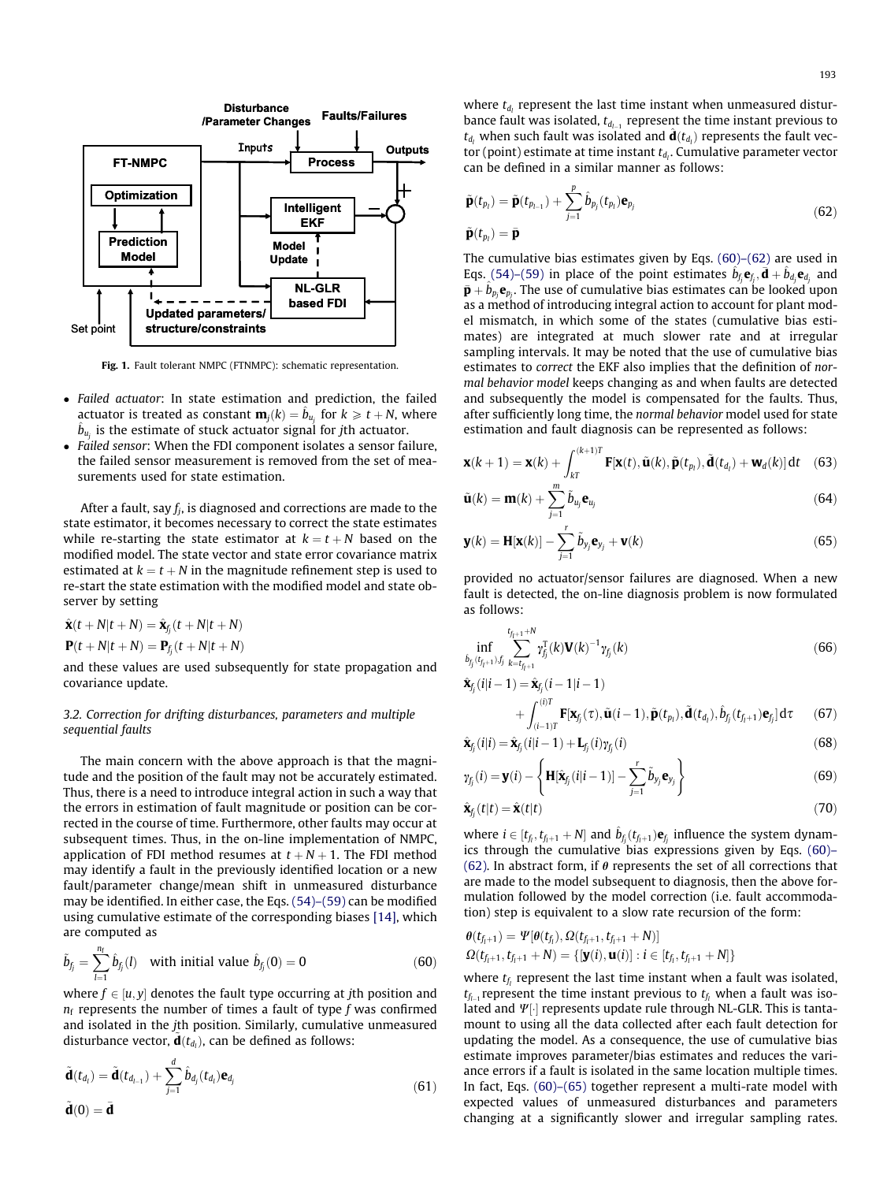<span id="page-6-0"></span>

Fig. 1. Fault tolerant NMPC (FTNMPC): schematic representation.

- Failed actuator: In state estimation and prediction, the failed actuator is treated as constant  $\mathbf{m}_j(k) = \hat{b}_{uj}$  for  $k \geq t + N$ , where  $\hat{b}_{u}$  is the estimate of stuck actuator signal for *i*th actuator.  $\hat{b}_{u_i}$  is the estimate of stuck actuator signal for *j*th actuator.
- Failed sensor: When the FDI component isolates a sensor failure, the failed sensor measurement is removed from the set of measurements used for state estimation.

After a fault, say  $f_i$ , is diagnosed and corrections are made to the state estimator, it becomes necessary to correct the state estimates while re-starting the state estimator at  $k = t + N$  based on the modified model. The state vector and state error covariance matrix estimated at  $k = t + N$  in the magnitude refinement step is used to re-start the state estimation with the modified model and state observer by setting

 $\hat{\mathbf{x}}(t+N|t+N) = \hat{\mathbf{x}}_{f_j}(t+N|t+N)$ 

 ${\bf P}(t + N|t + N) = {\bf P}_{f_j}(t + N|t + N)$ 

and these values are used subsequently for state propagation and covariance update.

# 3.2. Correction for drifting disturbances, parameters and multiple sequential faults

The main concern with the above approach is that the magnitude and the position of the fault may not be accurately estimated. Thus, there is a need to introduce integral action in such a way that the errors in estimation of fault magnitude or position can be corrected in the course of time. Furthermore, other faults may occur at subsequent times. Thus, in the on-line implementation of NMPC, application of FDI method resumes at  $t + N + 1$ . The FDI method may identify a fault in the previously identified location or a new fault/parameter change/mean shift in unmeasured disturbance may be identified. In either case, the Eqs. [\(54\)–\(59\)](#page-5-0) can be modified using cumulative estimate of the corresponding biases [\[14\]](#page-17-0), which are computed as

$$
\tilde{b}_{f_j} = \sum_{l=1}^{n_f} \hat{b}_{f_j}(l) \quad \text{with initial value } \hat{b}_{f_j}(0) = 0 \tag{60}
$$

where  $f \in [u, v]$  denotes the fault type occurring at *j*th position and  $n_f$  represents the number of times a fault of type f was confirmed and isolated in the jth position. Similarly, cumulative unmeasured disturbance vector,  $\tilde{\mathbf{d}}(t_{d_l})$ , can be defined as follows:

$$
\tilde{\mathbf{d}}(t_{d_i}) = \tilde{\mathbf{d}}(t_{d_{i-1}}) + \sum_{j=1}^d \hat{b}_{d_j}(t_{d_i}) \mathbf{e}_{d_j}
$$
\n(61)

where  $t_{d}$ , represent the last time instant when unmeasured disturbance fault was isolated,  $t_{d_{1-1}}$  represent the time instant previous to  $t_{d_l}$  when such fault was isolated and  $\hat{\mathbf{d}}(t_{d_l})$  represents the fault vector (point) estimate at time instant  $t_{d_l}.$  Cumulative parameter vector can be defined in a similar manner as follows:

$$
\tilde{\mathbf{p}}(t_{p_l}) = \tilde{\mathbf{p}}(t_{p_{l-1}}) + \sum_{j=1}^p \hat{b}_{p_j}(t_{p_l}) \mathbf{e}_{p_j}
$$
\n
$$
\tilde{\mathbf{p}}(t_{p_l}) = \bar{\mathbf{p}} \tag{62}
$$

The cumulative bias estimates given by Eqs. (60)–(62) are used in Eqs. [\(54\)–\(59\)](#page-5-0) in place of the point estimates  $\hat{b}_{f_j}$ **e**<sub>fj</sub>,  $\bar{\mathbf{d}} + \hat{b}_{d_j}$ **e**<sub>dj</sub> and  $\bar{\mathbf{p}}+\hat{b}_{p_j}\mathbf{e}_{p_j}.$  The use of cumulative bias estimates can be looked upon as a method of introducing integral action to account for plant model mismatch, in which some of the states (cumulative bias estimates) are integrated at much slower rate and at irregular sampling intervals. It may be noted that the use of cumulative bias estimates to correct the EKF also implies that the definition of normal behavior model keeps changing as and when faults are detected and subsequently the model is compensated for the faults. Thus, after sufficiently long time, the normal behavior model used for state estimation and fault diagnosis can be represented as follows:

$$
\mathbf{x}(k+1) = \mathbf{x}(k) + \int_{kT}^{(k+1)T} \mathbf{F}[\mathbf{x}(t), \tilde{\mathbf{u}}(k), \tilde{\mathbf{p}}(t_{p_i}), \tilde{\mathbf{d}}(t_{d_i}) + \mathbf{w}_d(k)] dt
$$
 (63)

$$
\tilde{\mathbf{u}}(k) = \mathbf{m}(k) + \sum_{j=1}^{m} \tilde{b}_{u_j} \mathbf{e}_{u_j}
$$
\n(64)

$$
\mathbf{y}(k) = \mathbf{H}[\mathbf{x}(k)] - \sum_{j=1}^{r} \tilde{b}_{y_j} \mathbf{e}_{y_j} + \mathbf{v}(k)
$$
 (65)

provided no actuator/sensor failures are diagnosed. When a new fault is detected, the on-line diagnosis problem is now formulated as follows:

$$
\inf_{\hat{b}_{f_j}(t_{f_i+1}), f_j} \sum_{k=t_{f_i+1}}^{t_{f_i+1}+N} \gamma_{f_j}^{\mathrm{T}}(k) \mathbf{V}(k)^{-1} \gamma_{f_j}(k) \tag{66}
$$

$$
\hat{\mathbf{x}}_{f_j}(i|i-1) = \hat{\mathbf{x}}_{f_j}(i-1|i-1) \n+ \int_{(i-1)T}^{(i)T} \mathbf{F}[\mathbf{x}_{f_j}(\tau), \tilde{\mathbf{u}}(i-1), \tilde{\mathbf{p}}(t_{p_i}), \tilde{\mathbf{d}}(t_{d_i}), \hat{b}_{f_j}(t_{f_i+1}) \mathbf{e}_{f_j}] d\tau
$$
\n(67)

$$
\hat{\mathbf{x}}_{f_j}(i|i) = \hat{\mathbf{x}}_{f_j}(i|i-1) + \mathbf{L}_{f_j}(i)\gamma_{f_j}(i)
$$
\n(68)

$$
\gamma_{f_j}(i) = \mathbf{y}(i) - \left\{ \mathbf{H}[\hat{\mathbf{x}}_{f_j}(i|i-1)] - \sum_{j=1}^r \tilde{b}_{y_j} \mathbf{e}_{y_j} \right\}
$$
(69)

$$
\hat{\mathbf{x}}_{f_j}(t|t) = \hat{\mathbf{x}}(t|t) \tag{70}
$$

where  $i\in [t_{f_l},t_{f_l+1}+N]$  and  $\hat{b}_{f_j}(t_{f_l+1})\mathbf{e}_{f_j}$  influence the system dynamics through the cumulative bias expressions given by Eqs. (60)– (62). In abstract form, if  $\theta$  represents the set of all corrections that are made to the model subsequent to diagnosis, then the above formulation followed by the model correction (i.e. fault accommodation) step is equivalent to a slow rate recursion of the form:

$$
\begin{aligned} \theta(t_{f_i+1}) &= \Psi[\theta(t_{f_i}), \Omega(t_{f_i+1}, t_{f_i+1} + N)] \\ \Omega(t_{f_i+1}, t_{f_i+1} + N) &= \{[\mathbf{y}(i), \mathbf{u}(i)] : i \in [t_{f_i}, t_{f_i+1} + N] \} \end{aligned}
$$

where  $t_f$  represent the last time instant when a fault was isolated,  $t_{f_{l-1}}$  represent the time instant previous to  $t_{f_l}$  when a fault was isolated and  $\Psi[\cdot]$  represents update rule through NL-GLR. This is tantamount to using all the data collected after each fault detection for updating the model. As a consequence, the use of cumulative bias estimate improves parameter/bias estimates and reduces the variance errors if a fault is isolated in the same location multiple times. In fact, Eqs. (60)–(65) together represent a multi-rate model with expected values of unmeasured disturbances and parameters changing at a significantly slower and irregular sampling rates.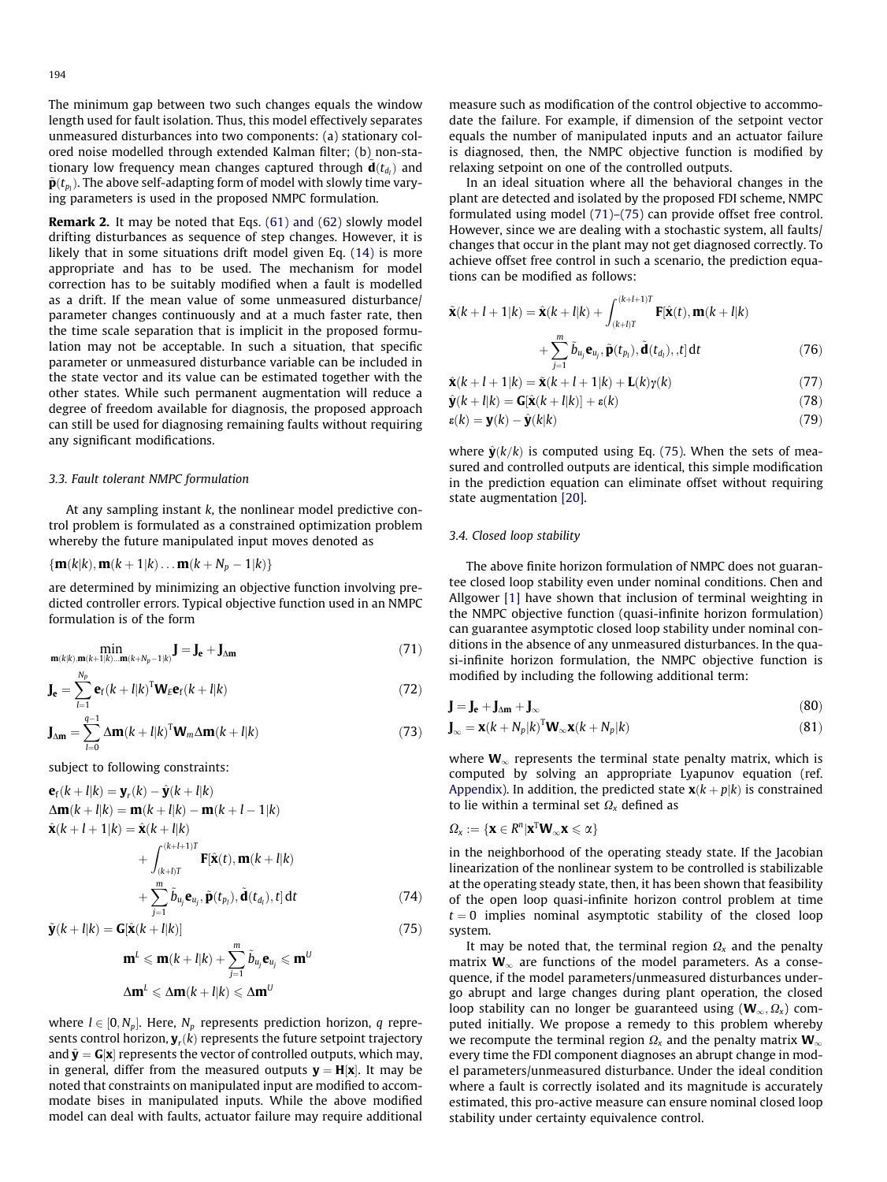The minimum gap between two such changes equals the window length used for fault isolation. Thus, this model effectively separates unmeasured disturbances into two components: (a) stationary colored noise modelled through extended Kalman filter; (b) non-stationary low frequency mean changes captured through  $\tilde{\mathbf{d}}(t_{d_{l}})$  and  $\tilde{\textbf{p}}(t_{p_l}).$  The above self-adapting form of model with slowly time varying parameters is used in the proposed NMPC formulation.

Remark 2. It may be noted that Eqs. [\(61\) and \(62\)](#page-6-0) slowly model drifting disturbances as sequence of step changes. However, it is likely that in some situations drift model given Eq. (14) is more appropriate and has to be used. The mechanism for model correction has to be suitably modified when a fault is modelled as a drift. If the mean value of some unmeasured disturbance/ parameter changes continuously and at a much faster rate, then the time scale separation that is implicit in the proposed formulation may not be acceptable. In such a situation, that specific parameter or unmeasured disturbance variable can be included in the state vector and its value can be estimated together with the other states. While such permanent augmentation will reduce a degree of freedom available for diagnosis, the proposed approach can still be used for diagnosing remaining faults without requiring any significant modifications.

#### 3.3. Fault tolerant NMPC formulation

At any sampling instant  $k$ , the nonlinear model predictive control problem is formulated as a constrained optimization problem whereby the future manipulated input moves denoted as

$$
\{\mathbf m(k|k), \mathbf m(k+1|k)\dots \mathbf m(k+N_p-1|k)\}
$$

are determined by minimizing an objective function involving predicted controller errors. Typical objective function used in an NMPC formulation is of the form

$$
\min_{\mathbf{m}(k|k),\mathbf{m}(k+1|k)\dots\mathbf{m}(k+N_p-1|k)} \mathbf{J} = \mathbf{J}_e + \mathbf{J}_{\Delta \mathbf{m}} \tag{71}
$$

$$
\mathbf{J}_{\mathbf{e}} = \sum_{l=1}^{N_p} \mathbf{e}_f(k+l|k)^{\mathrm{T}} \mathbf{W}_k \mathbf{e}_f(k+l|k)
$$
(72)

$$
\mathbf{J}_{\Delta \mathbf{m}} = \sum_{l=0}^{q-1} \Delta \mathbf{m} (k + l|k)^{\mathrm{T}} \mathbf{W}_{m} \Delta \mathbf{m} (k + l|k)
$$
(73)

subject to following constraints:

$$
\begin{aligned}\n\mathbf{e}_{\mathbf{f}}(k+l|k) &= \mathbf{y}_{r}(k) - \hat{\mathbf{y}}(k+l|k) \\
\Delta \mathbf{m}(k+l|k) &= \mathbf{m}(k+l|k) - \mathbf{m}(k+l-1|k) \\
\hat{\mathbf{x}}(k+l+1|k) &= \hat{\mathbf{x}}(k+l|k) \\
&\quad + \int_{(k+l)T}^{(k+l+1)T} \mathbf{F}[\hat{\mathbf{x}}(t), \mathbf{m}(k+l|k) \\
&\quad + \sum_{j=1}^{m} \tilde{b}_{u_{j}} \mathbf{e}_{u_{j}}, \tilde{\mathbf{p}}(t_{p_{l}}), \tilde{\mathbf{d}}(t_{d_{l}}), t] \, \mathrm{d}t\n\end{aligned} \tag{74}
$$

$$
\tilde{\mathbf{y}}(k+l|k) = \mathbf{G}[\hat{\mathbf{x}}(k+l|k)]
$$
\n(75)

$$
\mathbf{m}^{L} \leqslant \mathbf{m}(k+l|k) + \sum_{j=1}^{m} \tilde{b}_{u_{j}} \mathbf{e}_{u_{j}} \leqslant \mathbf{m}^{U}
$$

$$
\Delta \mathbf{m}^{L} \leqslant \Delta \mathbf{m}(k+l|k) \leqslant \Delta \mathbf{m}^{U}
$$

where  $l \in [0, N_p]$ . Here,  $N_p$  represents prediction horizon, q represents control horizon,  $\mathbf{y}_r(k)$  represents the future setpoint trajectory and  $\tilde{\mathbf{y}} = \mathbf{G}[\mathbf{x}]$  represents the vector of controlled outputs, which may, in general, differ from the measured outputs  $y = H[x]$ . It may be noted that constraints on manipulated input are modified to accommodate bises in manipulated inputs. While the above modified model can deal with faults, actuator failure may require additional measure such as modification of the control objective to accommodate the failure. For example, if dimension of the setpoint vector equals the number of manipulated inputs and an actuator failure is diagnosed, then, the NMPC objective function is modified by relaxing setpoint on one of the controlled outputs.

In an ideal situation where all the behavioral changes in the plant are detected and isolated by the proposed FDI scheme, NMPC formulated using model (71)–(75) can provide offset free control. However, since we are dealing with a stochastic system, all faults/ changes that occur in the plant may not get diagnosed correctly. To achieve offset free control in such a scenario, the prediction equations can be modified as follows:

$$
\tilde{\mathbf{x}}(k+l+1|k) = \hat{\mathbf{x}}(k+l|k) + \int_{(k+l)T}^{(k+l+1)T} \mathbf{F}[\hat{\mathbf{x}}(t), \mathbf{m}(k+l|k) + \sum_{j=1}^{m} \tilde{b}_{u_j} \mathbf{e}_{u_j}, \tilde{\mathbf{p}}(t_{p_l}), \tilde{\mathbf{d}}(t_{d_l}), t] dt
$$
\n(76)

$$
\hat{\mathbf{x}}(k+l+1|k) = \tilde{\mathbf{x}}(k+l+1|k) + \mathbf{L}(k)\gamma(k)
$$
\n(77)

$$
\hat{\mathbf{y}}(k+l|k) = \mathbf{G}[\hat{\mathbf{x}}(k+l|k)] + \varepsilon(k)
$$
\n(78)

$$
\mathbf{z}(k) = \mathbf{y}(k) - \hat{\mathbf{y}}(k|k) \tag{79}
$$

where  $\hat{\mathbf{y}}(k/k)$  is computed using Eq. (75). When the sets of measured and controlled outputs are identical, this simple modification in the prediction equation can eliminate offset without requiring state augmentation [\[20\]](#page-17-0).

## 3.4. Closed loop stability

The above finite horizon formulation of NMPC does not guarantee closed loop stability even under nominal conditions. Chen and Allgower [\[1\]](#page-17-0) have shown that inclusion of terminal weighting in the NMPC objective function (quasi-infinite horizon formulation) can guarantee asymptotic closed loop stability under nominal conditions in the absence of any unmeasured disturbances. In the quasi-infinite horizon formulation, the NMPC objective function is modified by including the following additional term:

$$
\mathbf{J} = \mathbf{J}_e + \mathbf{J}_{\Delta m} + \mathbf{J}_{\infty} \tag{80}
$$

$$
\mathbf{J}_{\infty} = \mathbf{x}(k + N_p|k)^{\mathrm{T}} \mathbf{W}_{\infty} \mathbf{x}(k + N_p|k)
$$
\n(81)

where  $W_{\infty}$  represents the terminal state penalty matrix, which is computed by solving an appropriate Lyapunov equation (ref. Appendix). In addition, the predicted state  $\mathbf{x}(k+p|k)$  is constrained to lie within a terminal set  $\Omega_{x}$  defined as

$$
\boldsymbol{\Omega}_x := \{\boldsymbol{x}\in \textit{R}^n | \boldsymbol{x}^T \boldsymbol{W}_\infty \boldsymbol{x} \leqslant \alpha\}
$$

in the neighborhood of the operating steady state. If the Jacobian linearization of the nonlinear system to be controlled is stabilizable at the operating steady state, then, it has been shown that feasibility of the open loop quasi-infinite horizon control problem at time  $t = 0$  implies nominal asymptotic stability of the closed loop system.

It may be noted that, the terminal region  $\Omega_{\rm x}$  and the penalty matrix  $W_{\infty}$  are functions of the model parameters. As a consequence, if the model parameters/unmeasured disturbances undergo abrupt and large changes during plant operation, the closed loop stability can no longer be guaranteed using  $(\mathbf{W}_{\infty}, \Omega_{\mathbf{x}})$  computed initially. We propose a remedy to this problem whereby we recompute the terminal region  $\Omega_{\rm x}$  and the penalty matrix  $\mathbf{W}_{\infty}$ every time the FDI component diagnoses an abrupt change in model parameters/unmeasured disturbance. Under the ideal condition where a fault is correctly isolated and its magnitude is accurately estimated, this pro-active measure can ensure nominal closed loop stability under certainty equivalence control.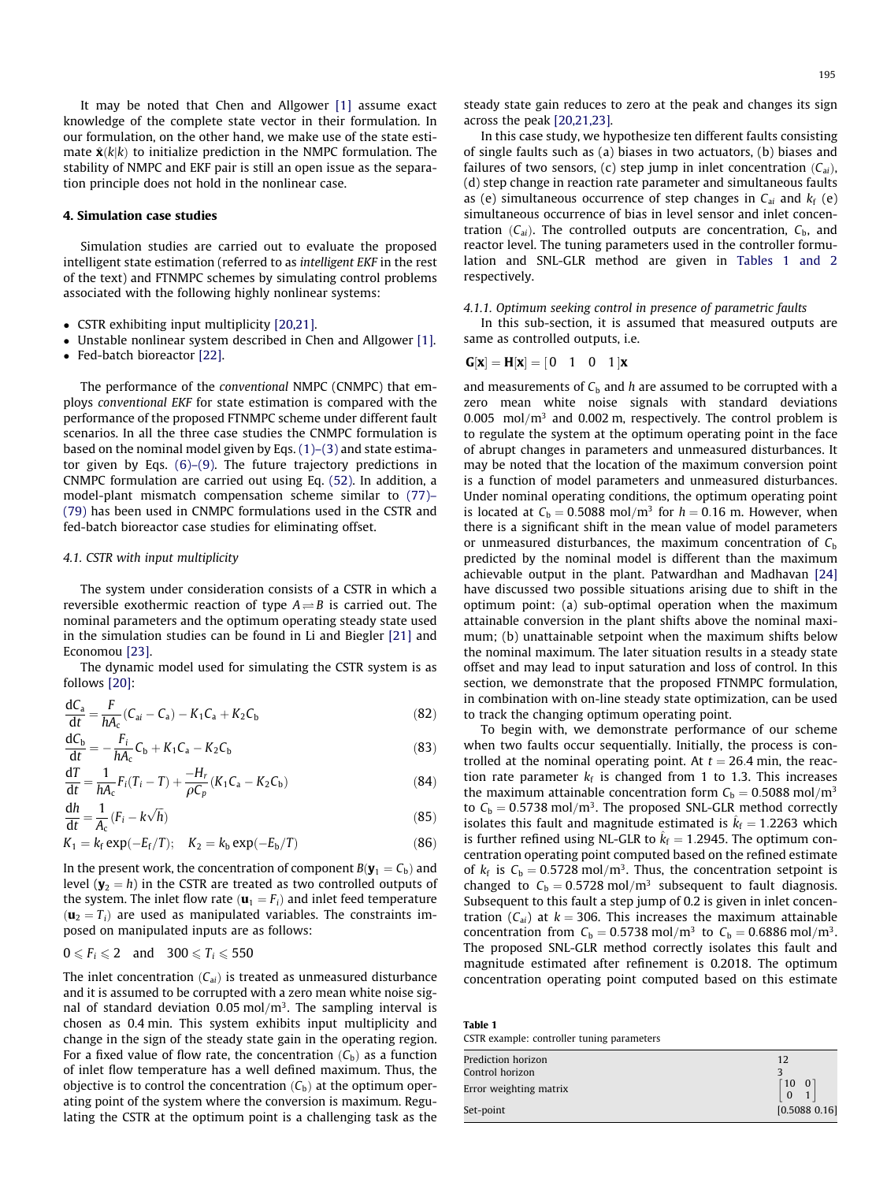It may be noted that Chen and Allgower [\[1\]](#page-17-0) assume exact knowledge of the complete state vector in their formulation. In our formulation, on the other hand, we make use of the state estimate  $\hat{\mathbf{x}}(k|k)$  to initialize prediction in the NMPC formulation. The stability of NMPC and EKF pair is still an open issue as the separation principle does not hold in the nonlinear case.

### 4. Simulation case studies

Simulation studies are carried out to evaluate the proposed intelligent state estimation (referred to as intelligent EKF in the rest of the text) and FTNMPC schemes by simulating control problems associated with the following highly nonlinear systems:

- CSTR exhibiting input multiplicity [\[20,21\]](#page-17-0).
- Unstable nonlinear system described in Chen and Allgower [\[1\].](#page-17-0)
- Fed-batch bioreactor [\[22\].](#page-17-0)

The performance of the conventional NMPC (CNMPC) that employs conventional EKF for state estimation is compared with the performance of the proposed FTNMPC scheme under different fault scenarios. In all the three case studies the CNMPC formulation is based on the nominal model given by Eqs. [\(1\)–\(3\)](#page-2-0) and state estimator given by Eqs. (6)–(9). The future trajectory predictions in CNMPC formulation are carried out using Eq. (52). In addition, a model-plant mismatch compensation scheme similar to [\(77\)–](#page-5-0) [\(79\)](#page-5-0) has been used in CNMPC formulations used in the CSTR and fed-batch bioreactor case studies for eliminating offset.

## 4.1. CSTR with input multiplicity

The system under consideration consists of a CSTR in which a reversible exothermic reaction of type  $A \rightleftharpoons B$  is carried out. The nominal parameters and the optimum operating steady state used in the simulation studies can be found in Li and Biegler [\[21\]](#page-17-0) and Economou [\[23\]](#page-17-0).

The dynamic model used for simulating the CSTR system is as follows [\[20\]](#page-17-0):

$$
\frac{\mathrm{d}C_{\mathrm{a}}}{\mathrm{d}t} = \frac{F}{hA_{\mathrm{c}}}(C_{\mathrm{a}i} - C_{\mathrm{a}}) - K_{1}C_{\mathrm{a}} + K_{2}C_{\mathrm{b}} \tag{82}
$$

$$
\frac{\mathrm{d}C_{\mathrm{b}}}{\mathrm{d}t} = -\frac{F_i}{hA_{\mathrm{c}}}C_{\mathrm{b}} + K_1 C_{\mathrm{a}} - K_2 C_{\mathrm{b}} \tag{83}
$$

$$
\frac{dT}{dt} = \frac{1}{hA_c}F_i(T_i - T) + \frac{-H_r}{\rho C_p}(K_1C_a - K_2C_b)
$$
\n(84)

$$
\frac{dh}{dt} = \frac{1}{A_c} (F_i - k\sqrt{h})
$$
\n(85)

$$
K_1 = k_f \exp(-E_f/T); \quad K_2 = k_b \exp(-E_b/T) \tag{86}
$$

In the present work, the concentration of component  $B(\mathbf{y}_1 = C_b)$  and level ( $\mathbf{y}_2 = h$ ) in the CSTR are treated as two controlled outputs of the system. The inlet flow rate  $(\mathbf{u}_1 = F_i)$  and inlet feed temperature  **are used as manipulated variables. The constraints im**posed on manipulated inputs are as follows:

$$
0\leqslant F_i\leqslant 2\quad\text{and}\quad 300\leqslant T_i\leqslant 550
$$

The inlet concentration  $(C_{ai})$  is treated as unmeasured disturbance and it is assumed to be corrupted with a zero mean white noise signal of standard deviation 0.05 mol/m<sup>3</sup>. The sampling interval is chosen as 0.4 min. This system exhibits input multiplicity and change in the sign of the steady state gain in the operating region. For a fixed value of flow rate, the concentration  $(C_b)$  as a function of inlet flow temperature has a well defined maximum. Thus, the objective is to control the concentration  $(C_b)$  at the optimum operating point of the system where the conversion is maximum. Regulating the CSTR at the optimum point is a challenging task as the steady state gain reduces to zero at the peak and changes its sign across the peak [\[20,21,23\].](#page-17-0)

In this case study, we hypothesize ten different faults consisting of single faults such as (a) biases in two actuators, (b) biases and failures of two sensors, (c) step jump in inlet concentration  $(C_{ai})$ , (d) step change in reaction rate parameter and simultaneous faults as (e) simultaneous occurrence of step changes in  $C_{ai}$  and  $k_f$  (e) simultaneous occurrence of bias in level sensor and inlet concentration  $(C_{ai})$ . The controlled outputs are concentration,  $C_{b}$ , and reactor level. The tuning parameters used in the controller formulation and SNL-GLR method are given in Tables 1 and 2 respectively.

## 4.1.1. Optimum seeking control in presence of parametric faults

In this sub-section, it is assumed that measured outputs are same as controlled outputs, i.e.

$$
G[x] = H[x] = [0 \ 1 \ 0 \ 1]x
$$

and measurements of  $C<sub>b</sub>$  and h are assumed to be corrupted with a zero mean white noise signals with standard deviations 0.005 mol/ $m<sup>3</sup>$  and 0.002 m, respectively. The control problem is to regulate the system at the optimum operating point in the face of abrupt changes in parameters and unmeasured disturbances. It may be noted that the location of the maximum conversion point is a function of model parameters and unmeasured disturbances. Under nominal operating conditions, the optimum operating point is located at  $C_b = 0.5088$  mol/m<sup>3</sup> for  $h = 0.16$  m. However, when there is a significant shift in the mean value of model parameters or unmeasured disturbances, the maximum concentration of  $C<sub>b</sub>$ predicted by the nominal model is different than the maximum achievable output in the plant. Patwardhan and Madhavan [\[24\]](#page-17-0) have discussed two possible situations arising due to shift in the optimum point: (a) sub-optimal operation when the maximum attainable conversion in the plant shifts above the nominal maximum; (b) unattainable setpoint when the maximum shifts below the nominal maximum. The later situation results in a steady state offset and may lead to input saturation and loss of control. In this section, we demonstrate that the proposed FTNMPC formulation, in combination with on-line steady state optimization, can be used to track the changing optimum operating point.

To begin with, we demonstrate performance of our scheme when two faults occur sequentially. Initially, the process is controlled at the nominal operating point. At  $t = 26.4$  min, the reaction rate parameter  $k_f$  is changed from 1 to 1.3. This increases the maximum attainable concentration form  $C_b = 0.5088$  mol/m<sup>3</sup> to  $C_b = 0.5738$  mol/m<sup>3</sup>. The proposed SNL-GLR method correctly isolates this fault and magnitude estimated is  $\hat{k}_f = 1.2263$  which is further refined using NL-GLR to  $\hat{k}_f = 1.2945$ . The optimum concentration operating point computed based on the refined estimate of  $k_f$  is  $C_b = 0.5728$  mol/m<sup>3</sup>. Thus, the concentration setpoint is changed to  $C_b = 0.5728 \text{ mol/m}^3$  subsequent to fault diagnosis. Subsequent to this fault a step jump of 0.2 is given in inlet concentration ( $C_{ai}$ ) at  $k = 306$ . This increases the maximum attainable concentration from  $C_b = 0.5738$  mol/m<sup>3</sup> to  $C_b = 0.6886$  mol/m<sup>3</sup>. The proposed SNL-GLR method correctly isolates this fault and magnitude estimated after refinement is 0.2018. The optimum concentration operating point computed based on this estimate

| iable i                                    |  |  |
|--------------------------------------------|--|--|
| CSTR example: controller tuning parameters |  |  |

 $T = T$ 

| Prediction horizon     | 12                                              |
|------------------------|-------------------------------------------------|
| Control horizon        |                                                 |
| Error weighting matrix | $\begin{bmatrix} 10 & 0 \\ 0 & 1 \end{bmatrix}$ |
| Set-point              | [0.5088 0.16]                                   |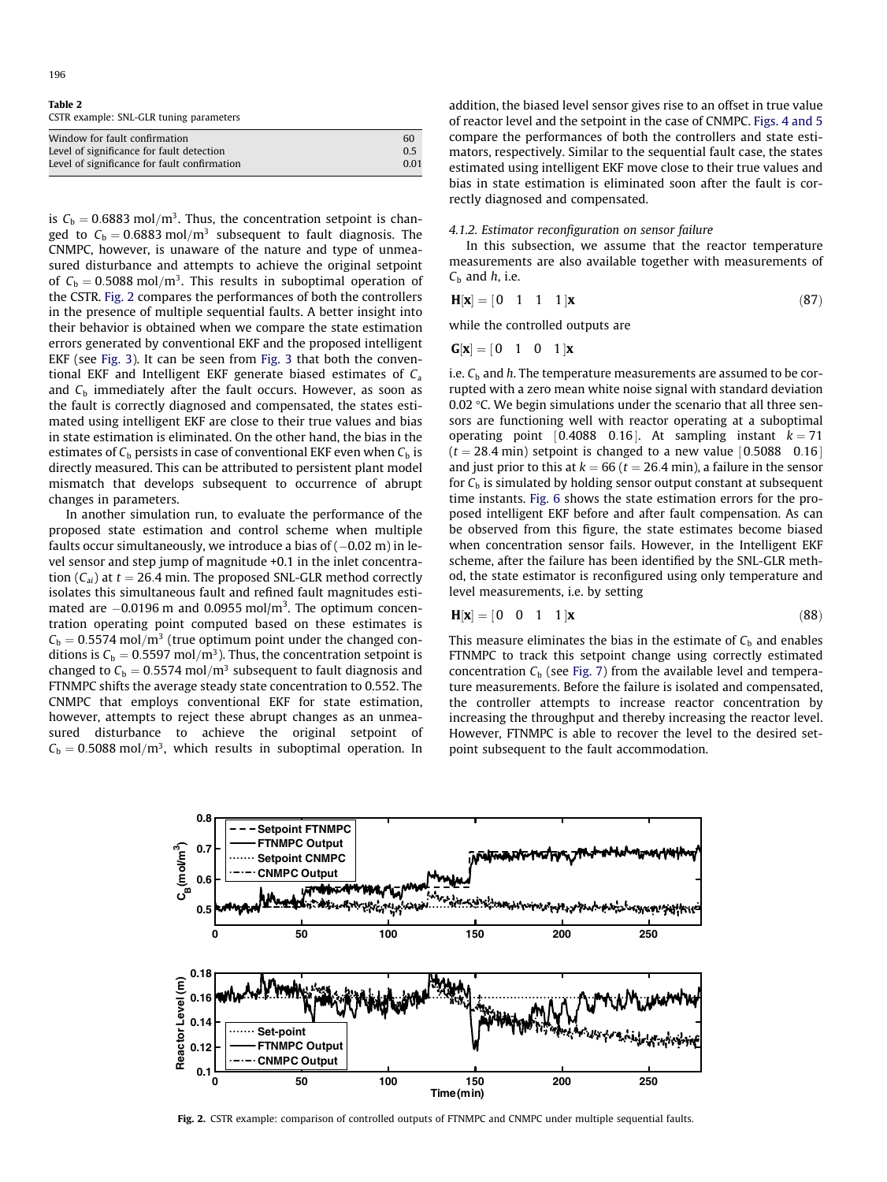#### Table 2

| CSTR example: SNL-GLR tuning parameters |  |  |  |  |  |  |
|-----------------------------------------|--|--|--|--|--|--|
|-----------------------------------------|--|--|--|--|--|--|

| Window for fault confirmation                | 60   |
|----------------------------------------------|------|
| Level of significance for fault detection    | 0.5  |
| Level of significance for fault confirmation | 0.01 |

is  $C_b = 0.6883$  mol/m<sup>3</sup>. Thus, the concentration setpoint is changed to  $C_b = 0.6883$  mol/m<sup>3</sup> subsequent to fault diagnosis. The CNMPC, however, is unaware of the nature and type of unmeasured disturbance and attempts to achieve the original setpoint of  $C_b = 0.5088$  mol/m<sup>3</sup>. This results in suboptimal operation of the CSTR. Fig. 2 compares the performances of both the controllers in the presence of multiple sequential faults. A better insight into their behavior is obtained when we compare the state estimation errors generated by conventional EKF and the proposed intelligent EKF (see [Fig. 3\)](#page-10-0). It can be seen from [Fig. 3](#page-10-0) that both the conventional EKF and Intelligent EKF generate biased estimates of  $C_a$ and  $C_b$  immediately after the fault occurs. However, as soon as the fault is correctly diagnosed and compensated, the states estimated using intelligent EKF are close to their true values and bias in state estimation is eliminated. On the other hand, the bias in the estimates of  $C_b$  persists in case of conventional EKF even when  $C_b$  is directly measured. This can be attributed to persistent plant model mismatch that develops subsequent to occurrence of abrupt changes in parameters.

In another simulation run, to evaluate the performance of the proposed state estimation and control scheme when multiple faults occur simultaneously, we introduce a bias of  $(-0.02 \text{ m})$  in level sensor and step jump of magnitude +0.1 in the inlet concentration ( $C_{ai}$ ) at  $t = 26.4$  min. The proposed SNL-GLR method correctly isolates this simultaneous fault and refined fault magnitudes estimated are  $-0.0196$  m and 0.0955 mol/m<sup>3</sup>. The optimum concentration operating point computed based on these estimates is  $C_b = 0.5574$  mol/m<sup>3</sup> (true optimum point under the changed conditions is  $C_b = 0.5597$  mol/m<sup>3</sup>). Thus, the concentration setpoint is changed to  $C_b = 0.5574$  mol/m<sup>3</sup> subsequent to fault diagnosis and FTNMPC shifts the average steady state concentration to 0.552. The CNMPC that employs conventional EKF for state estimation, however, attempts to reject these abrupt changes as an unmeasured disturbance to achieve the original setpoint of  $C<sub>b</sub> = 0.5088$  mol/m<sup>3</sup>, which results in suboptimal operation. In addition, the biased level sensor gives rise to an offset in true value of reactor level and the setpoint in the case of CNMPC. [Figs. 4 and 5](#page-10-0) compare the performances of both the controllers and state estimators, respectively. Similar to the sequential fault case, the states estimated using intelligent EKF move close to their true values and bias in state estimation is eliminated soon after the fault is correctly diagnosed and compensated.

#### 4.1.2. Estimator reconfiguration on sensor failure

In this subsection, we assume that the reactor temperature measurements are also available together with measurements of  $C<sub>b</sub>$  and h, i.e.

$$
H[x] = [0 \ 1 \ 1 \ 1]x \tag{87}
$$

while the controlled outputs are

$$
\boldsymbol{G}[\boldsymbol{x}] = [\begin{matrix} 0 & 1 & 0 & 1 \end{matrix}] \boldsymbol{x}
$$

i.e.  $C<sub>b</sub>$  and h. The temperature measurements are assumed to be corrupted with a zero mean white noise signal with standard deviation 0.02  $\degree$ C. We begin simulations under the scenario that all three sensors are functioning well with reactor operating at a suboptimal operating point  $[0.4088 \ 0.16]$ . At sampling instant  $k = 71$  $(t = 28.4 \text{ min})$  setpoint is changed to a new value [0.5088 0.16] and just prior to this at  $k = 66$  ( $t = 26.4$  min), a failure in the sensor for  $C_{\rm b}$  is simulated by holding sensor output constant at subsequent time instants. [Fig. 6](#page-11-0) shows the state estimation errors for the proposed intelligent EKF before and after fault compensation. As can be observed from this figure, the state estimates become biased when concentration sensor fails. However, in the Intelligent EKF scheme, after the failure has been identified by the SNL-GLR method, the state estimator is reconfigured using only temperature and level measurements, i.e. by setting

$$
H[x] = [0 \ 0 \ 1 \ 1]x \tag{88}
$$

This measure eliminates the bias in the estimate of  $C<sub>b</sub>$  and enables FTNMPC to track this setpoint change using correctly estimated concentration  $C<sub>b</sub>$  (see [Fig. 7\)](#page-11-0) from the available level and temperature measurements. Before the failure is isolated and compensated, the controller attempts to increase reactor concentration by increasing the throughput and thereby increasing the reactor level. However, FTNMPC is able to recover the level to the desired setpoint subsequent to the fault accommodation.



Fig. 2. CSTR example: comparison of controlled outputs of FTNMPC and CNMPC under multiple sequential faults.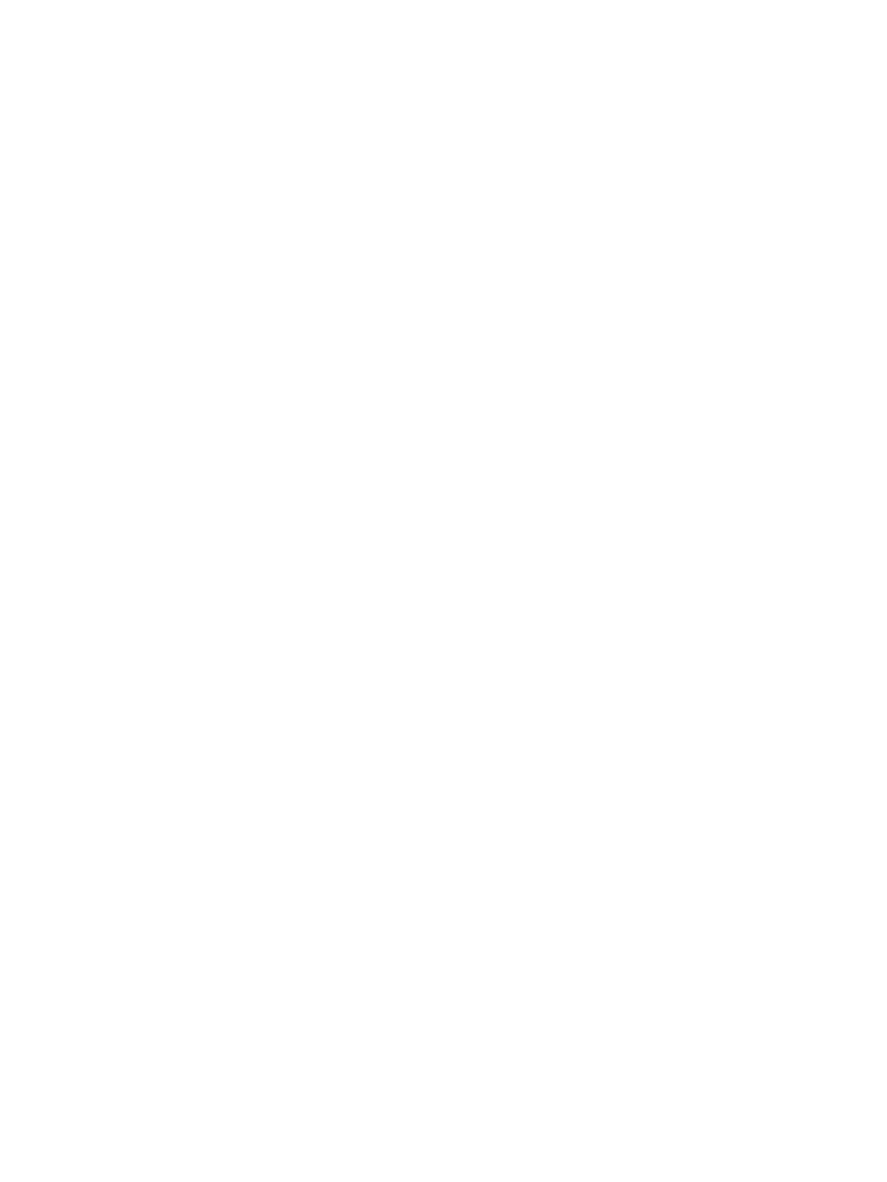alleviate this diculty we propose to use Aaie Inormation Criterion (AIC) or ault isolation when multiple simultaneous aults are hypothesied together with single aults. Thus the test statistic used or ault isolation is as ollows:

$$
\begin{array}{ll}\n\text{min} & \text{AIC}_{f} \quad \text{N} \text{ in } \frac{1}{N} \downarrow \quad 2/52 \\
\text{all hypothesied authors}\n\end{array}
$$

where  $J<sub>r</sub>$  represents the value o the prediction error term otained ater solving the magnitude estimation prolem and / represents the total numer o parameters estimated when ault f has occurred. The ault i.e. either a single ault or a set o simultaneous aults that yields minimum value or AIC is isolated as the ault that has occurred. It may e noted that

The proposed ault isolation strategy ased on AIC can also e employed when ault models with dierent numer o unnown parameters (e.g. step ump in a parameter and slow drit in the parameter) are hypothesied.

The numer o aults that can e hypothesied to occur simultaneously cannot exceed the numer o measurements due to oservaility considerations.

Remark 1. It may e noted that the choice o window length N determines the trade-o etween delay in diagnosis and accuracy o diagnosis. A large value o N results in less alse alarms and smaller variance errors in ault magnitude estimate. However choosing largerN also introduces a longer delay in ault identication. On the other hand choosingN to e small reduces delay in ault isolation. However it can increase alse alarms and results in larger variance errors in ault magnitude estimates. Based on simulation studies Praash et al. 14 have suggested that the window length N can e chosen approximately eual to hal the time reuired or the estimator to converge ater a change occurs.

#### 3. Intelligent state estimation for fault tolerant NMPC

NMPC techniues use nonlinear model or prediction which is typically developed once in the eqinning o implementation o an NMPC scheme. However as time progresses slow changes in unmeasured disturances and/or process parameters andfaults such as jases in sensors or actuators results in signicant mismatch in plant and model ehavior (beavior mismatc). In addition hard ailures lie ailures o actuators and sensors can lead to signicant structural plant model mismatch (structure mis matc). The conventional approach to deal with the beavior mis matc in the NMPC ormulations is through the introduction o additional articial states in the state oserver 24 . The main limitation o this permanent augmentation approach is that the numer o extra states that can e introduced cannot exceed the numer o measurements. This implies that it is necessary to have a priorinowledge o a suset o aults that are most liely to occur or a suset o parameters that are most liely to drit. In such a ormulation the state estimates can ecome iased when unanticipated aults and/or parameter drits occur. When NMPC ormulation is used or inerential control o some unmeasured uality variales the iased state estimates can have detrimental eect on the closed loop perormance. The accuracy o the state estimates which is the prime concern in the inerential control ormulation can e maintained only i identical model is used or ault diagnosis and control and the model is corrected at the correct location when a ault or arupt change occurs 12 . Moreover the permanent augmentation o state space model cannot systematically deal with the diculties arising out o sensor iases and sensor/actuator ailures.

In this section we descrie the integration o the conventional state space ased NMPC ormulation with NL-LR or SNL-LR scheme which is capale o generating uniased state estimates y intelligently correcting the state estimator. To egin with we descrie the modications necessary in the state estimator used or FDI a well as NMPC when a ault is detected or the rst time y FDI component. Modications necessary or dealing with recurrence o the ault occurrence o another ault at suseuent time instants and driting (non-stationary) changes in unmeasured disturances/model parameters are descried later. We then proceed to propose NMPC ormulation that can deal with ehavioral as well as structural changes in the model and state estimator. A schematic representation o the proposed FTNMPC scheme is shown in Fig. 1.

#### 3.1. nline modications to state estimator and predictor

Consider a situation where FDT has een reected at time instant t and suseuently FCT has een reected at time t N or the rst time. Further assume that at instant t N a ault f has een isolated using NL-LR/SNL-LR method and the ault magnitude has een estimated using data collected in the interval  $t$ ; t N. During the interval  $t$ ; t N the NMPC ormulation is ased on the prediction model given y euations

$$
\begin{array}{cccc}\n\text{\textbf{A}} & \text{\textbf{K}} & \text{I} & \text{I} & \text{I} \\
\text{\textbf{A}} & \text{I} & \text{I} & \text{I} \\
\text{I} & \text{I} & \text{I} \\
\text{I} & \text{I} & \text{I} \\
\text{I} & \text{I} & \text{I} \\
\text{I} & \text{I} & \text{I}\n\end{array}
$$
\n
$$
\begin{array}{cccc}\n\text{I} & \text{I} & \text{I} \\
\text{I} & \text{I} & \text{I} \\
\text{I} & \text{I} & \text{I} \\
\text{I} & \text{I} & \text{I}\n\end{array}
$$
\n
$$
\begin{array}{cccc}\n\text{I} & \text{I} & \text{I} \\
\text{I} & \text{I} & \text{I} \\
\text{I} & \text{I} & \text{I}\n\end{array}
$$
\n
$$
\begin{array}{cccc}\n\text{I} & \text{I} & \text{I} \\
\text{I} & \text{I} & \text{I} \\
\text{I} & \text{I} & \text{I}\n\end{array}
$$

However ater the identication o the ault at instant t N the model or  $kP$  t N is modied as ollows:

Step ump in unmeasured disturbancemodel parameter FDI component isolates arupt change in unmeasured disturance the prediction euations in the state estimator and uture predictions in NMPC are modied as ollows:

| $\begin{array}{cccc}\n & k & 1 & k \\  & k & 1 & k \\  & k & 1 & k \\  & k & 1 & k\n \end{array}$ \n | $\begin{array}{cccc}\n & k & 1 \\  & k & 1 \\  & k & 1\n \end{array}$ \n | $\begin{array}{cccc}\n & k & 1 \\  & k & 1 \\  & k & 1\n \end{array}$ \n | $\begin{array}{cccc}\n & k & 1 \\  & k & 1 \\  & k & 1\n \end{array}$ \n | $\begin{array}{cccc}\n & k & 1 \\  & k & 1 \\  & k & 1\n \end{array}$ \n | $\begin{array}{cccc}\n & k & 1 \\  & k & 1 \\  & k & 1\n \end{array}$ \n | $\begin{array}{cccc}\n & k & 1 \\  & k & 1 \\  & k & 1\n \end{array}$ \n | $\begin{array}{cccc}\n & k & 1 \\  & k & 1 \\  & k & 1\n \end{array}$ \n | $\begin{array}{cccc}\n & k & 1 \\  & k & 1 \\  & k & 1\n \end{array}$ \n | $\begin{array}{cccc}\n & k & 1 \\  & k & 1 \\  & k & 1\n \end{array}$ \n | $\begin{array}{cccc}\n & k & 1 \\  & k & 1 \\  & k & 1\n \end{array}$ \n | $\begin{array}{cccc}\n & k & 1 \\  & k & 1 \\  & k & 1\n \end{array}$ \n | $\begin{array}{cccc}\n & k & 1 \\  & k & 1 \\  & k & 1\n \end{array}$ \n | < |
|------------------------------------------------------------------------------------------------------|--------------------------------------------------------------------------|--------------------------------------------------------------------------|--------------------------------------------------------------------------|--------------------------------------------------------------------------|--------------------------------------------------------------------------|--------------------------------------------------------------------------|--------------------------------------------------------------------------|--------------------------------------------------------------------------|--------------------------------------------------------------------------|--------------------------------------------------------------------------|--------------------------------------------------------------------------|--------------------------------------------------------------------------|---|
|------------------------------------------------------------------------------------------------------|--------------------------------------------------------------------------|--------------------------------------------------------------------------|--------------------------------------------------------------------------|--------------------------------------------------------------------------|--------------------------------------------------------------------------|--------------------------------------------------------------------------|--------------------------------------------------------------------------|--------------------------------------------------------------------------|--------------------------------------------------------------------------|--------------------------------------------------------------------------|--------------------------------------------------------------------------|--------------------------------------------------------------------------|---|

$$
\hat{\mathbf{x}} \mathbf{k} \quad \mathbf{l} \quad \mathbf{1} \mathbf{j} \mathbf{k} \quad \hat{\mathbf{x}} \mathbf{k} \quad \mathbf{l} \mathbf{j} \mathbf{k} \quad \begin{array}{c} \mathbf{1} & \mathbf{1} \\ \mathbf{k} & \mathbf{l} \end{array} \quad \mathbf{F} \hat{\mathbf{x}} \mathbf{k} \quad \mathbf{l} \mathbf{j} \mathbf{k} \mathbf{m} \mathbf{k} \mathbf{p} \mathbf{d}
$$

$$
\hat{\mathbf{b}}_{\mathbf{d}} \mathbf{e}_{\mathbf{d}}
$$
 dt

I an arupt change is detected in a parameter then the state estimator and predictor can e modied in analogous manner.

Sensor faults th sensor ias is isolated the measured output is compensated as

$$
y_c \mathbf{k} \quad y \mathbf{k} \quad \mathbf{\hat{b}}_y \mathbf{e}_y \tag{56}
$$

and used in FDI as well as NMPC ormulation or computing innovation seuence.

**Compensation for actuator bias** 

$$
\hat{\mathbf{x}} \text{ kjk } 1 \quad \hat{\mathbf{x}} \text{ k } 1 \text{ jk } 1 \quad \begin{array}{c} Z_{\text{ kT}} \\ K_{\text{ 1 T}} \end{array} \text{ F } \hat{\mathbf{x}} \text{ t } ; \text{ m } \text{ k } 1
$$

$$
\hat{\mathbf{b}}_{\mathbf{u}} \mathbf{e}_{\mathbf{u}}; \mathbf{p}; \mathbf{d} \mathbf{dt} \tag{57}
$$

$$
\hat{\mathbf{x}} \quad \text{kijk} \quad \hat{\mathbf{x}} \quad \text{tik} \quad \mathbf{t} \quad \mathbf{t} \quad \mathbf{t} \quad \mathbf{t} \quad \mathbf{t} \quad \mathbf{t} \quad \mathbf{t} \quad \mathbf{t} \quad \mathbf{t} \quad \mathbf{t} \quad \mathbf{t} \quad \mathbf{t} \quad \mathbf{t} \quad \mathbf{t} \quad \mathbf{t} \quad \mathbf{t} \quad \mathbf{t} \quad \mathbf{t} \quad \mathbf{t} \quad \mathbf{t} \quad \mathbf{t} \quad \mathbf{t} \quad \mathbf{t} \quad \mathbf{t} \quad \mathbf{t} \quad \mathbf{t} \quad \mathbf{t} \quad \mathbf{t} \quad \mathbf{t} \quad \mathbf{t} \quad \mathbf{t} \quad \mathbf{t} \quad \mathbf{t} \quad \mathbf{t} \quad \mathbf{t} \quad \mathbf{t} \quad \mathbf{t} \quad \mathbf{t} \quad \mathbf{t} \quad \mathbf{t} \quad \mathbf{t} \quad \mathbf{t} \quad \mathbf{t} \quad \mathbf{t} \quad \mathbf{t} \quad \mathbf{t} \quad \mathbf{t} \quad \mathbf{t} \quad \mathbf{t} \quad \mathbf{t} \quad \mathbf{t} \quad \mathbf{t} \quad \mathbf{t} \quad \mathbf{t} \quad \mathbf{t} \quad \mathbf{t} \quad \mathbf{t} \quad \mathbf{t} \quad \mathbf{t} \quad \mathbf{t} \quad \mathbf{t} \quad \mathbf{t} \quad \mathbf{t} \quad \mathbf{t} \quad \mathbf{t} \quad \mathbf{t} \quad \mathbf{t} \quad \mathbf{t} \quad \mathbf{t} \quad \mathbf{t} \quad \mathbf{t} \quad \mathbf{t} \quad \mathbf{t} \quad \mathbf{t} \quad \mathbf{t} \quad \mathbf{t} \quad \mathbf{t} \quad \mathbf{t} \quad \mathbf{t} \quad \mathbf{t} \quad \mathbf{t} \quad \mathbf{t} \quad \mathbf{t} \quad \mathbf{t} \quad \mathbf{t} \quad \mathbf{t} \quad \mathbf{t} \quad \mathbf{t} \quad \mathbf{t} \quad \mathbf{t} \quad \mathbf{t}
$$

$$
\begin{array}{c|c}\n\text{? } k \quad 1 \quad 1jk \quad \text{? } k \quad 1jk \\
\text{b}_{u} e_{u}; p; d \text{ dt} \quad \text{59}\n\end{array}
$$